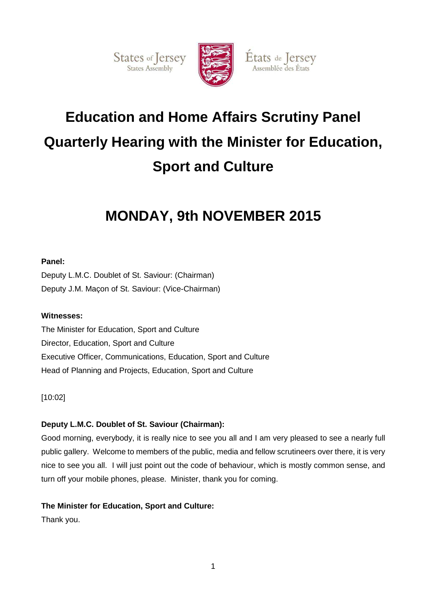



États de Jersey

Assemblée des États

# **Education and Home Affairs Scrutiny Panel Quarterly Hearing with the Minister for Education, Sport and Culture**

# **MONDAY, 9th NOVEMBER 2015**

## **Panel:**

Deputy L.M.C. Doublet of St. Saviour: (Chairman) Deputy J.M. Maçon of St. Saviour: (Vice-Chairman)

## **Witnesses:**

The Minister for Education, Sport and Culture Director, Education, Sport and Culture Executive Officer, Communications, Education, Sport and Culture Head of Planning and Projects, Education, Sport and Culture

[10:02]

## **Deputy L.M.C. Doublet of St. Saviour (Chairman):**

Good morning, everybody, it is really nice to see you all and I am very pleased to see a nearly full public gallery. Welcome to members of the public, media and fellow scrutineers over there, it is very nice to see you all. I will just point out the code of behaviour, which is mostly common sense, and turn off your mobile phones, please. Minister, thank you for coming.

## **The Minister for Education, Sport and Culture:**

Thank you.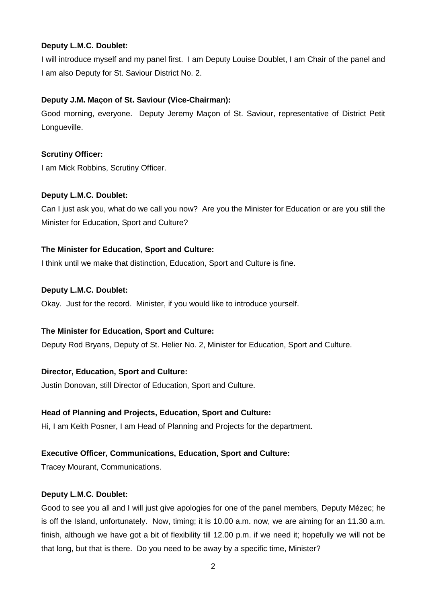I will introduce myself and my panel first. I am Deputy Louise Doublet, I am Chair of the panel and I am also Deputy for St. Saviour District No. 2.

## **Deputy J.M. Maçon of St. Saviour (Vice-Chairman):**

Good morning, everyone. Deputy Jeremy Maçon of St. Saviour, representative of District Petit Longueville.

## **Scrutiny Officer:**

I am Mick Robbins, Scrutiny Officer.

## **Deputy L.M.C. Doublet:**

Can I just ask you, what do we call you now? Are you the Minister for Education or are you still the Minister for Education, Sport and Culture?

## **The Minister for Education, Sport and Culture:**

I think until we make that distinction, Education, Sport and Culture is fine.

## **Deputy L.M.C. Doublet:**

Okay. Just for the record. Minister, if you would like to introduce yourself.

## **The Minister for Education, Sport and Culture:**

Deputy Rod Bryans, Deputy of St. Helier No. 2, Minister for Education, Sport and Culture.

## **Director, Education, Sport and Culture:**

Justin Donovan, still Director of Education, Sport and Culture.

## **Head of Planning and Projects, Education, Sport and Culture:**

Hi, I am Keith Posner, I am Head of Planning and Projects for the department.

## **Executive Officer, Communications, Education, Sport and Culture:**

Tracey Mourant, Communications.

## **Deputy L.M.C. Doublet:**

Good to see you all and I will just give apologies for one of the panel members, Deputy Mézec; he is off the Island, unfortunately. Now, timing; it is 10.00 a.m. now, we are aiming for an 11.30 a.m. finish, although we have got a bit of flexibility till 12.00 p.m. if we need it; hopefully we will not be that long, but that is there. Do you need to be away by a specific time, Minister?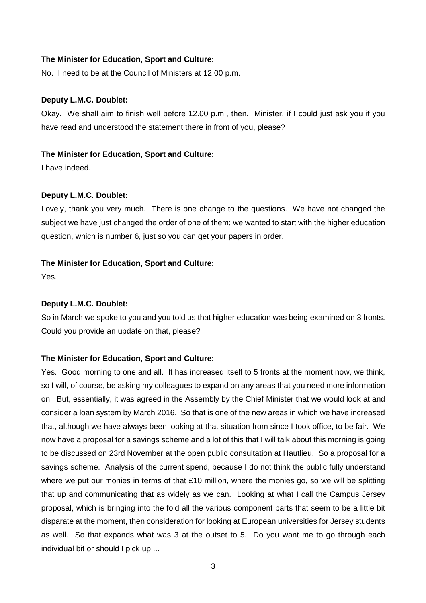#### **The Minister for Education, Sport and Culture:**

No. I need to be at the Council of Ministers at 12.00 p.m.

#### **Deputy L.M.C. Doublet:**

Okay. We shall aim to finish well before 12.00 p.m., then. Minister, if I could just ask you if you have read and understood the statement there in front of you, please?

#### **The Minister for Education, Sport and Culture:**

I have indeed.

#### **Deputy L.M.C. Doublet:**

Lovely, thank you very much. There is one change to the questions. We have not changed the subject we have just changed the order of one of them; we wanted to start with the higher education question, which is number 6, just so you can get your papers in order.

#### **The Minister for Education, Sport and Culture:**

Yes.

#### **Deputy L.M.C. Doublet:**

So in March we spoke to you and you told us that higher education was being examined on 3 fronts. Could you provide an update on that, please?

#### **The Minister for Education, Sport and Culture:**

Yes. Good morning to one and all. It has increased itself to 5 fronts at the moment now, we think, so I will, of course, be asking my colleagues to expand on any areas that you need more information on. But, essentially, it was agreed in the Assembly by the Chief Minister that we would look at and consider a loan system by March 2016. So that is one of the new areas in which we have increased that, although we have always been looking at that situation from since I took office, to be fair. We now have a proposal for a savings scheme and a lot of this that I will talk about this morning is going to be discussed on 23rd November at the open public consultation at Hautlieu. So a proposal for a savings scheme. Analysis of the current spend, because I do not think the public fully understand where we put our monies in terms of that £10 million, where the monies go, so we will be splitting that up and communicating that as widely as we can. Looking at what I call the Campus Jersey proposal, which is bringing into the fold all the various component parts that seem to be a little bit disparate at the moment, then consideration for looking at European universities for Jersey students as well. So that expands what was 3 at the outset to 5. Do you want me to go through each individual bit or should I pick up ...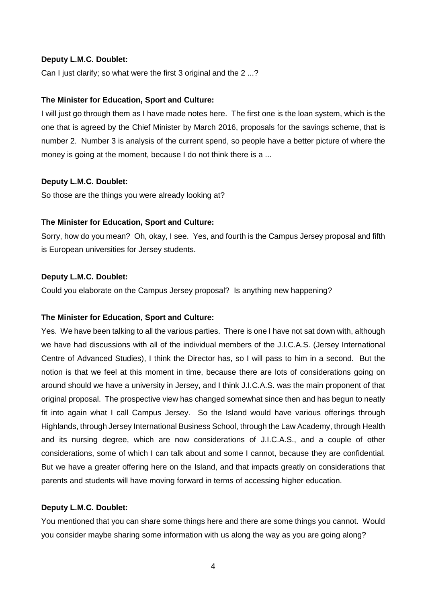Can I just clarify; so what were the first 3 original and the 2 ...?

#### **The Minister for Education, Sport and Culture:**

I will just go through them as I have made notes here. The first one is the loan system, which is the one that is agreed by the Chief Minister by March 2016, proposals for the savings scheme, that is number 2. Number 3 is analysis of the current spend, so people have a better picture of where the money is going at the moment, because I do not think there is a ...

#### **Deputy L.M.C. Doublet:**

So those are the things you were already looking at?

#### **The Minister for Education, Sport and Culture:**

Sorry, how do you mean? Oh, okay, I see. Yes, and fourth is the Campus Jersey proposal and fifth is European universities for Jersey students.

#### **Deputy L.M.C. Doublet:**

Could you elaborate on the Campus Jersey proposal? Is anything new happening?

#### **The Minister for Education, Sport and Culture:**

Yes. We have been talking to all the various parties. There is one I have not sat down with, although we have had discussions with all of the individual members of the J.I.C.A.S. (Jersey International Centre of Advanced Studies), I think the Director has, so I will pass to him in a second. But the notion is that we feel at this moment in time, because there are lots of considerations going on around should we have a university in Jersey, and I think J.I.C.A.S. was the main proponent of that original proposal. The prospective view has changed somewhat since then and has begun to neatly fit into again what I call Campus Jersey. So the Island would have various offerings through Highlands, through Jersey International Business School, through the Law Academy, through Health and its nursing degree, which are now considerations of J.I.C.A.S., and a couple of other considerations, some of which I can talk about and some I cannot, because they are confidential. But we have a greater offering here on the Island, and that impacts greatly on considerations that parents and students will have moving forward in terms of accessing higher education.

#### **Deputy L.M.C. Doublet:**

You mentioned that you can share some things here and there are some things you cannot. Would you consider maybe sharing some information with us along the way as you are going along?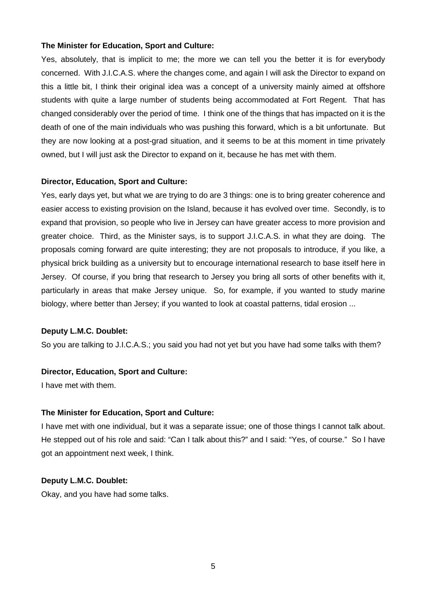#### **The Minister for Education, Sport and Culture:**

Yes, absolutely, that is implicit to me; the more we can tell you the better it is for everybody concerned. With J.I.C.A.S. where the changes come, and again I will ask the Director to expand on this a little bit, I think their original idea was a concept of a university mainly aimed at offshore students with quite a large number of students being accommodated at Fort Regent. That has changed considerably over the period of time. I think one of the things that has impacted on it is the death of one of the main individuals who was pushing this forward, which is a bit unfortunate. But they are now looking at a post-grad situation, and it seems to be at this moment in time privately owned, but I will just ask the Director to expand on it, because he has met with them.

#### **Director, Education, Sport and Culture:**

Yes, early days yet, but what we are trying to do are 3 things: one is to bring greater coherence and easier access to existing provision on the Island, because it has evolved over time. Secondly, is to expand that provision, so people who live in Jersey can have greater access to more provision and greater choice. Third, as the Minister says, is to support J.I.C.A.S. in what they are doing. The proposals coming forward are quite interesting; they are not proposals to introduce, if you like, a physical brick building as a university but to encourage international research to base itself here in Jersey. Of course, if you bring that research to Jersey you bring all sorts of other benefits with it, particularly in areas that make Jersey unique. So, for example, if you wanted to study marine biology, where better than Jersey; if you wanted to look at coastal patterns, tidal erosion ...

#### **Deputy L.M.C. Doublet:**

So you are talking to J.I.C.A.S.; you said you had not yet but you have had some talks with them?

#### **Director, Education, Sport and Culture:**

I have met with them.

#### **The Minister for Education, Sport and Culture:**

I have met with one individual, but it was a separate issue; one of those things I cannot talk about. He stepped out of his role and said: "Can I talk about this?" and I said: "Yes, of course." So I have got an appointment next week, I think.

#### **Deputy L.M.C. Doublet:**

Okay, and you have had some talks.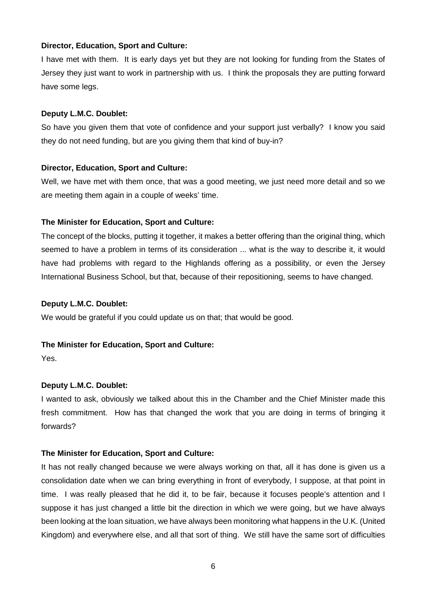I have met with them. It is early days yet but they are not looking for funding from the States of Jersey they just want to work in partnership with us. I think the proposals they are putting forward have some legs.

#### **Deputy L.M.C. Doublet:**

So have you given them that vote of confidence and your support just verbally? I know you said they do not need funding, but are you giving them that kind of buy-in?

## **Director, Education, Sport and Culture:**

Well, we have met with them once, that was a good meeting, we just need more detail and so we are meeting them again in a couple of weeks' time.

## **The Minister for Education, Sport and Culture:**

The concept of the blocks, putting it together, it makes a better offering than the original thing, which seemed to have a problem in terms of its consideration ... what is the way to describe it, it would have had problems with regard to the Highlands offering as a possibility, or even the Jersey International Business School, but that, because of their repositioning, seems to have changed.

## **Deputy L.M.C. Doublet:**

We would be grateful if you could update us on that; that would be good.

## **The Minister for Education, Sport and Culture:**

Yes.

## **Deputy L.M.C. Doublet:**

I wanted to ask, obviously we talked about this in the Chamber and the Chief Minister made this fresh commitment. How has that changed the work that you are doing in terms of bringing it forwards?

#### **The Minister for Education, Sport and Culture:**

It has not really changed because we were always working on that, all it has done is given us a consolidation date when we can bring everything in front of everybody, I suppose, at that point in time. I was really pleased that he did it, to be fair, because it focuses people's attention and I suppose it has just changed a little bit the direction in which we were going, but we have always been looking at the loan situation, we have always been monitoring what happens in the U.K. (United Kingdom) and everywhere else, and all that sort of thing. We still have the same sort of difficulties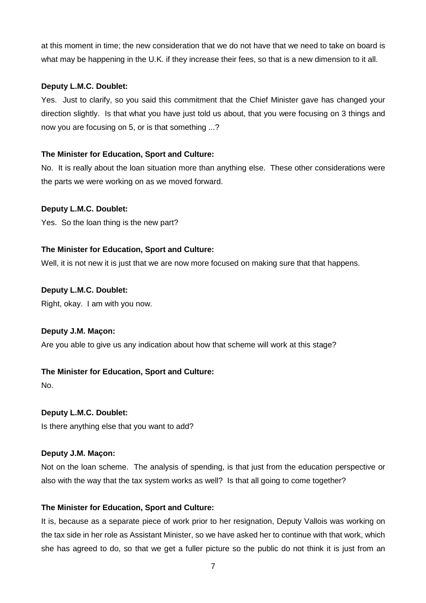at this moment in time; the new consideration that we do not have that we need to take on board is what may be happening in the U.K. if they increase their fees, so that is a new dimension to it all.

## **Deputy L.M.C. Doublet:**

Yes. Just to clarify, so you said this commitment that the Chief Minister gave has changed your direction slightly. Is that what you have just told us about, that you were focusing on 3 things and now you are focusing on 5, or is that something ...?

## **The Minister for Education, Sport and Culture:**

No. It is really about the loan situation more than anything else. These other considerations were the parts we were working on as we moved forward.

## **Deputy L.M.C. Doublet:**

Yes. So the loan thing is the new part?

## **The Minister for Education, Sport and Culture:**

Well, it is not new it is just that we are now more focused on making sure that that happens.

## **Deputy L.M.C. Doublet:**

Right, okay. I am with you now.

#### **Deputy J.M. Maçon:**

Are you able to give us any indication about how that scheme will work at this stage?

## **The Minister for Education, Sport and Culture:**

No.

## **Deputy L.M.C. Doublet:**

Is there anything else that you want to add?

#### **Deputy J.M. Maçon:**

Not on the loan scheme. The analysis of spending, is that just from the education perspective or also with the way that the tax system works as well? Is that all going to come together?

## **The Minister for Education, Sport and Culture:**

It is, because as a separate piece of work prior to her resignation, Deputy Vallois was working on the tax side in her role as Assistant Minister, so we have asked her to continue with that work, which she has agreed to do, so that we get a fuller picture so the public do not think it is just from an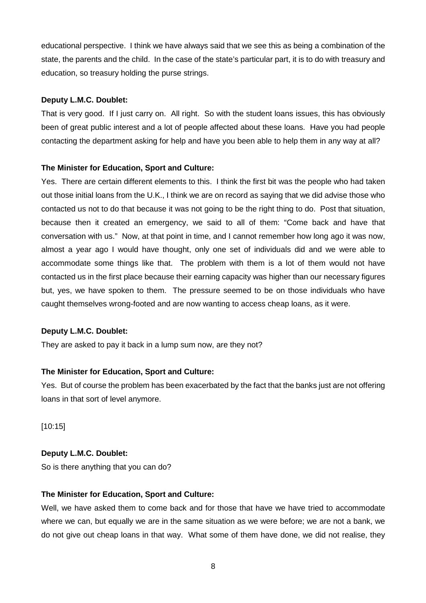educational perspective. I think we have always said that we see this as being a combination of the state, the parents and the child. In the case of the state's particular part, it is to do with treasury and education, so treasury holding the purse strings.

## **Deputy L.M.C. Doublet:**

That is very good. If I just carry on. All right. So with the student loans issues, this has obviously been of great public interest and a lot of people affected about these loans. Have you had people contacting the department asking for help and have you been able to help them in any way at all?

## **The Minister for Education, Sport and Culture:**

Yes. There are certain different elements to this. I think the first bit was the people who had taken out those initial loans from the U.K., I think we are on record as saying that we did advise those who contacted us not to do that because it was not going to be the right thing to do. Post that situation, because then it created an emergency, we said to all of them: "Come back and have that conversation with us." Now, at that point in time, and I cannot remember how long ago it was now, almost a year ago I would have thought, only one set of individuals did and we were able to accommodate some things like that. The problem with them is a lot of them would not have contacted us in the first place because their earning capacity was higher than our necessary figures but, yes, we have spoken to them. The pressure seemed to be on those individuals who have caught themselves wrong-footed and are now wanting to access cheap loans, as it were.

#### **Deputy L.M.C. Doublet:**

They are asked to pay it back in a lump sum now, are they not?

## **The Minister for Education, Sport and Culture:**

Yes. But of course the problem has been exacerbated by the fact that the banks just are not offering loans in that sort of level anymore.

[10:15]

## **Deputy L.M.C. Doublet:**

So is there anything that you can do?

#### **The Minister for Education, Sport and Culture:**

Well, we have asked them to come back and for those that have we have tried to accommodate where we can, but equally we are in the same situation as we were before; we are not a bank, we do not give out cheap loans in that way. What some of them have done, we did not realise, they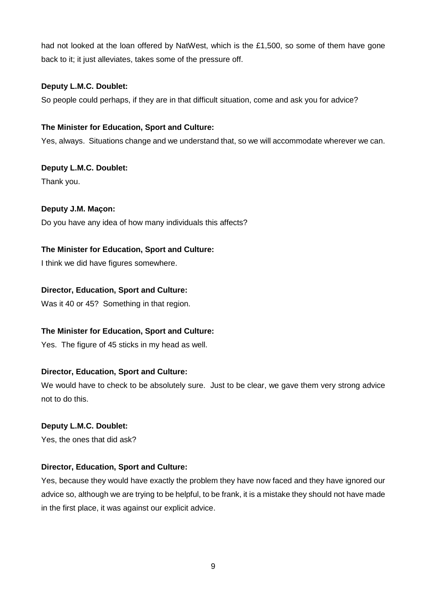had not looked at the loan offered by NatWest, which is the £1,500, so some of them have gone back to it; it just alleviates, takes some of the pressure off.

## **Deputy L.M.C. Doublet:**

So people could perhaps, if they are in that difficult situation, come and ask you for advice?

## **The Minister for Education, Sport and Culture:**

Yes, always. Situations change and we understand that, so we will accommodate wherever we can.

**Deputy L.M.C. Doublet:**  Thank you.

## **Deputy J.M. Maçon:**

Do you have any idea of how many individuals this affects?

## **The Minister for Education, Sport and Culture:**

I think we did have figures somewhere.

## **Director, Education, Sport and Culture:**

Was it 40 or 45? Something in that region.

## **The Minister for Education, Sport and Culture:**

Yes. The figure of 45 sticks in my head as well.

## **Director, Education, Sport and Culture:**

We would have to check to be absolutely sure. Just to be clear, we gave them very strong advice not to do this.

#### **Deputy L.M.C. Doublet:**

Yes, the ones that did ask?

## **Director, Education, Sport and Culture:**

Yes, because they would have exactly the problem they have now faced and they have ignored our advice so, although we are trying to be helpful, to be frank, it is a mistake they should not have made in the first place, it was against our explicit advice.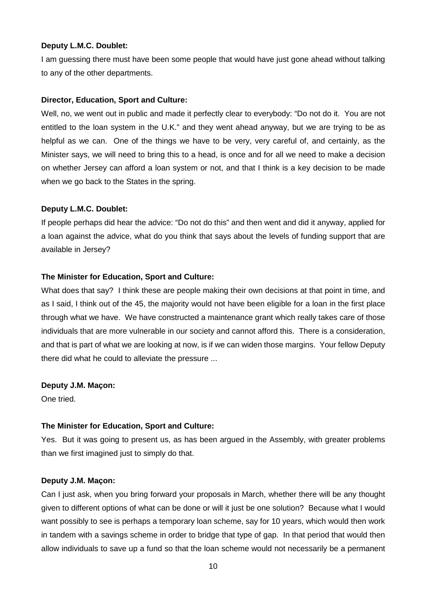I am guessing there must have been some people that would have just gone ahead without talking to any of the other departments.

#### **Director, Education, Sport and Culture:**

Well, no, we went out in public and made it perfectly clear to everybody: "Do not do it. You are not entitled to the loan system in the U.K." and they went ahead anyway, but we are trying to be as helpful as we can. One of the things we have to be very, very careful of, and certainly, as the Minister says, we will need to bring this to a head, is once and for all we need to make a decision on whether Jersey can afford a loan system or not, and that I think is a key decision to be made when we go back to the States in the spring.

#### **Deputy L.M.C. Doublet:**

If people perhaps did hear the advice: "Do not do this" and then went and did it anyway, applied for a loan against the advice, what do you think that says about the levels of funding support that are available in Jersey?

#### **The Minister for Education, Sport and Culture:**

What does that say? I think these are people making their own decisions at that point in time, and as I said, I think out of the 45, the majority would not have been eligible for a loan in the first place through what we have. We have constructed a maintenance grant which really takes care of those individuals that are more vulnerable in our society and cannot afford this. There is a consideration, and that is part of what we are looking at now, is if we can widen those margins. Your fellow Deputy there did what he could to alleviate the pressure ...

#### **Deputy J.M. Maçon:**

One tried.

#### **The Minister for Education, Sport and Culture:**

Yes. But it was going to present us, as has been argued in the Assembly, with greater problems than we first imagined just to simply do that.

#### **Deputy J.M. Maçon:**

Can I just ask, when you bring forward your proposals in March, whether there will be any thought given to different options of what can be done or will it just be one solution? Because what I would want possibly to see is perhaps a temporary loan scheme, say for 10 years, which would then work in tandem with a savings scheme in order to bridge that type of gap. In that period that would then allow individuals to save up a fund so that the loan scheme would not necessarily be a permanent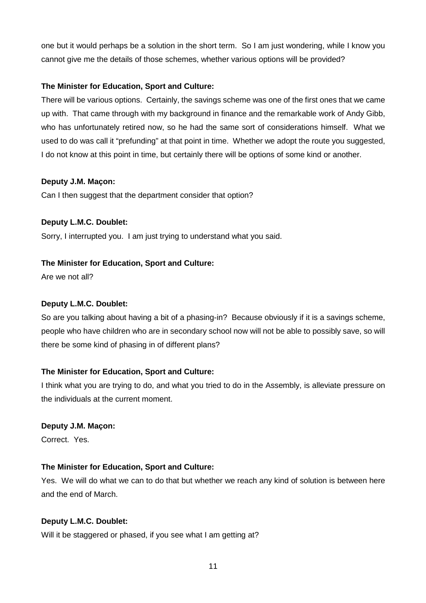one but it would perhaps be a solution in the short term. So I am just wondering, while I know you cannot give me the details of those schemes, whether various options will be provided?

## **The Minister for Education, Sport and Culture:**

There will be various options. Certainly, the savings scheme was one of the first ones that we came up with. That came through with my background in finance and the remarkable work of Andy Gibb, who has unfortunately retired now, so he had the same sort of considerations himself. What we used to do was call it "prefunding" at that point in time. Whether we adopt the route you suggested, I do not know at this point in time, but certainly there will be options of some kind or another.

## **Deputy J.M. Maçon:**

Can I then suggest that the department consider that option?

## **Deputy L.M.C. Doublet:**

Sorry, I interrupted you. I am just trying to understand what you said.

## **The Minister for Education, Sport and Culture:**

Are we not all?

## **Deputy L.M.C. Doublet:**

So are you talking about having a bit of a phasing-in? Because obviously if it is a savings scheme, people who have children who are in secondary school now will not be able to possibly save, so will there be some kind of phasing in of different plans?

## **The Minister for Education, Sport and Culture:**

I think what you are trying to do, and what you tried to do in the Assembly, is alleviate pressure on the individuals at the current moment.

#### **Deputy J.M. Maçon:**

Correct. Yes.

## **The Minister for Education, Sport and Culture:**

Yes. We will do what we can to do that but whether we reach any kind of solution is between here and the end of March.

#### **Deputy L.M.C. Doublet:**

Will it be staggered or phased, if you see what I am getting at?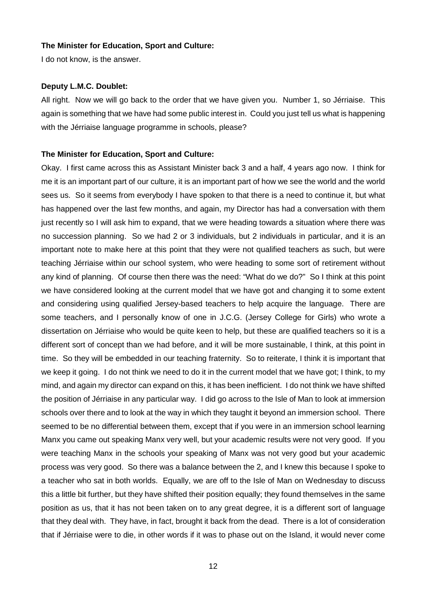#### **The Minister for Education, Sport and Culture:**

I do not know, is the answer.

#### **Deputy L.M.C. Doublet:**

All right. Now we will go back to the order that we have given you. Number 1, so Jérriaise. This again is something that we have had some public interest in. Could you just tell us what is happening with the Jérriaise language programme in schools, please?

## **The Minister for Education, Sport and Culture:**

Okay. I first came across this as Assistant Minister back 3 and a half, 4 years ago now. I think for me it is an important part of our culture, it is an important part of how we see the world and the world sees us. So it seems from everybody I have spoken to that there is a need to continue it, but what has happened over the last few months, and again, my Director has had a conversation with them just recently so I will ask him to expand, that we were heading towards a situation where there was no succession planning. So we had 2 or 3 individuals, but 2 individuals in particular, and it is an important note to make here at this point that they were not qualified teachers as such, but were teaching Jérriaise within our school system, who were heading to some sort of retirement without any kind of planning. Of course then there was the need: "What do we do?" So I think at this point we have considered looking at the current model that we have got and changing it to some extent and considering using qualified Jersey-based teachers to help acquire the language. There are some teachers, and I personally know of one in J.C.G. (Jersey College for Girls) who wrote a dissertation on Jérriaise who would be quite keen to help, but these are qualified teachers so it is a different sort of concept than we had before, and it will be more sustainable, I think, at this point in time. So they will be embedded in our teaching fraternity. So to reiterate, I think it is important that we keep it going. I do not think we need to do it in the current model that we have got; I think, to my mind, and again my director can expand on this, it has been inefficient. I do not think we have shifted the position of Jérriaise in any particular way. I did go across to the Isle of Man to look at immersion schools over there and to look at the way in which they taught it beyond an immersion school. There seemed to be no differential between them, except that if you were in an immersion school learning Manx you came out speaking Manx very well, but your academic results were not very good. If you were teaching Manx in the schools your speaking of Manx was not very good but your academic process was very good. So there was a balance between the 2, and I knew this because I spoke to a teacher who sat in both worlds. Equally, we are off to the Isle of Man on Wednesday to discuss this a little bit further, but they have shifted their position equally; they found themselves in the same position as us, that it has not been taken on to any great degree, it is a different sort of language that they deal with. They have, in fact, brought it back from the dead. There is a lot of consideration that if Jérriaise were to die, in other words if it was to phase out on the Island, it would never come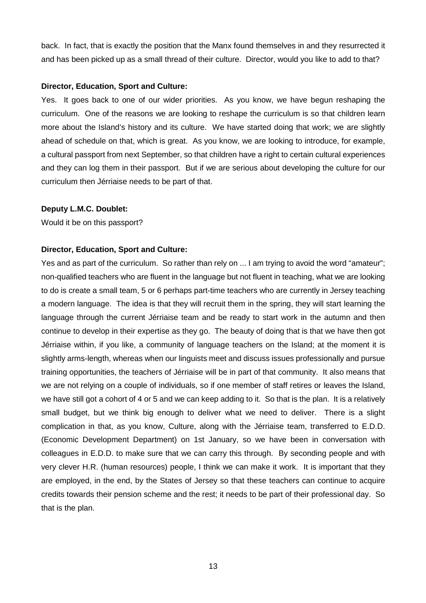back. In fact, that is exactly the position that the Manx found themselves in and they resurrected it and has been picked up as a small thread of their culture. Director, would you like to add to that?

#### **Director, Education, Sport and Culture:**

Yes. It goes back to one of our wider priorities. As you know, we have begun reshaping the curriculum. One of the reasons we are looking to reshape the curriculum is so that children learn more about the Island's history and its culture. We have started doing that work; we are slightly ahead of schedule on that, which is great. As you know, we are looking to introduce, for example, a cultural passport from next September, so that children have a right to certain cultural experiences and they can log them in their passport. But if we are serious about developing the culture for our curriculum then Jérriaise needs to be part of that.

#### **Deputy L.M.C. Doublet:**

Would it be on this passport?

#### **Director, Education, Sport and Culture:**

Yes and as part of the curriculum. So rather than rely on ... I am trying to avoid the word "amateur"; non-qualified teachers who are fluent in the language but not fluent in teaching, what we are looking to do is create a small team, 5 or 6 perhaps part-time teachers who are currently in Jersey teaching a modern language. The idea is that they will recruit them in the spring, they will start learning the language through the current Jérriaise team and be ready to start work in the autumn and then continue to develop in their expertise as they go. The beauty of doing that is that we have then got Jérriaise within, if you like, a community of language teachers on the Island; at the moment it is slightly arms-length, whereas when our linguists meet and discuss issues professionally and pursue training opportunities, the teachers of Jérriaise will be in part of that community. It also means that we are not relying on a couple of individuals, so if one member of staff retires or leaves the Island, we have still got a cohort of 4 or 5 and we can keep adding to it. So that is the plan. It is a relatively small budget, but we think big enough to deliver what we need to deliver. There is a slight complication in that, as you know, Culture, along with the Jérriaise team, transferred to E.D.D. (Economic Development Department) on 1st January, so we have been in conversation with colleagues in E.D.D. to make sure that we can carry this through. By seconding people and with very clever H.R. (human resources) people, I think we can make it work. It is important that they are employed, in the end, by the States of Jersey so that these teachers can continue to acquire credits towards their pension scheme and the rest; it needs to be part of their professional day. So that is the plan.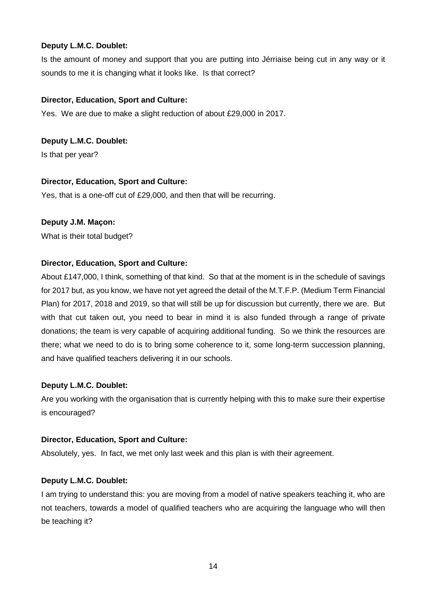Is the amount of money and support that you are putting into Jérriaise being cut in any way or it sounds to me it is changing what it looks like. Is that correct?

## **Director, Education, Sport and Culture:**

Yes. We are due to make a slight reduction of about £29,000 in 2017.

## **Deputy L.M.C. Doublet:**

Is that per year?

## **Director, Education, Sport and Culture:**

Yes, that is a one-off cut of £29,000, and then that will be recurring.

## **Deputy J.M. Maçon:**

What is their total budget?

## **Director, Education, Sport and Culture:**

About £147,000, I think, something of that kind. So that at the moment is in the schedule of savings for 2017 but, as you know, we have not yet agreed the detail of the M.T.F.P. (Medium Term Financial Plan) for 2017, 2018 and 2019, so that will still be up for discussion but currently, there we are. But with that cut taken out, you need to bear in mind it is also funded through a range of private donations; the team is very capable of acquiring additional funding. So we think the resources are there; what we need to do is to bring some coherence to it, some long-term succession planning, and have qualified teachers delivering it in our schools.

## **Deputy L.M.C. Doublet:**

Are you working with the organisation that is currently helping with this to make sure their expertise is encouraged?

#### **Director, Education, Sport and Culture:**

Absolutely, yes. In fact, we met only last week and this plan is with their agreement.

## **Deputy L.M.C. Doublet:**

I am trying to understand this: you are moving from a model of native speakers teaching it, who are not teachers, towards a model of qualified teachers who are acquiring the language who will then be teaching it?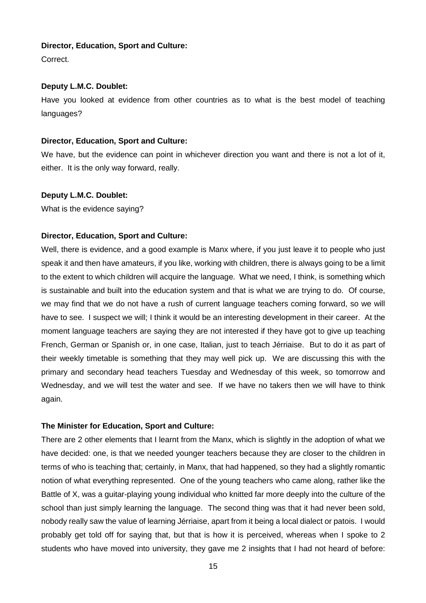Correct.

## **Deputy L.M.C. Doublet:**

Have you looked at evidence from other countries as to what is the best model of teaching languages?

## **Director, Education, Sport and Culture:**

We have, but the evidence can point in whichever direction you want and there is not a lot of it, either. It is the only way forward, really.

## **Deputy L.M.C. Doublet:**

What is the evidence saying?

## **Director, Education, Sport and Culture:**

Well, there is evidence, and a good example is Manx where, if you just leave it to people who just speak it and then have amateurs, if you like, working with children, there is always going to be a limit to the extent to which children will acquire the language. What we need, I think, is something which is sustainable and built into the education system and that is what we are trying to do. Of course, we may find that we do not have a rush of current language teachers coming forward, so we will have to see. I suspect we will; I think it would be an interesting development in their career. At the moment language teachers are saying they are not interested if they have got to give up teaching French, German or Spanish or, in one case, Italian, just to teach Jérriaise. But to do it as part of their weekly timetable is something that they may well pick up. We are discussing this with the primary and secondary head teachers Tuesday and Wednesday of this week, so tomorrow and Wednesday, and we will test the water and see. If we have no takers then we will have to think again.

#### **The Minister for Education, Sport and Culture:**

There are 2 other elements that I learnt from the Manx, which is slightly in the adoption of what we have decided: one, is that we needed younger teachers because they are closer to the children in terms of who is teaching that; certainly, in Manx, that had happened, so they had a slightly romantic notion of what everything represented. One of the young teachers who came along, rather like the Battle of X, was a guitar-playing young individual who knitted far more deeply into the culture of the school than just simply learning the language. The second thing was that it had never been sold, nobody really saw the value of learning Jérriaise, apart from it being a local dialect or patois. I would probably get told off for saying that, but that is how it is perceived, whereas when I spoke to 2 students who have moved into university, they gave me 2 insights that I had not heard of before: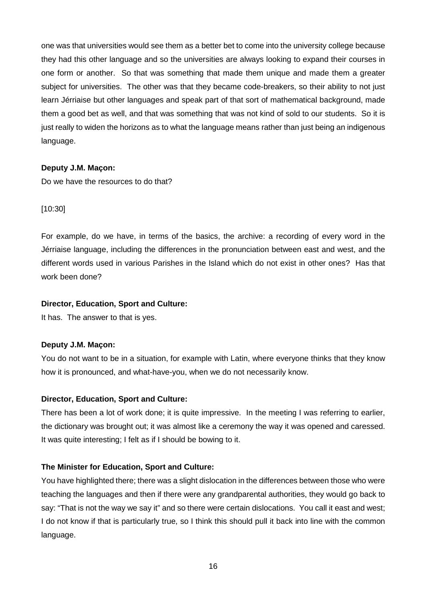one was that universities would see them as a better bet to come into the university college because they had this other language and so the universities are always looking to expand their courses in one form or another. So that was something that made them unique and made them a greater subject for universities. The other was that they became code-breakers, so their ability to not just learn Jérriaise but other languages and speak part of that sort of mathematical background, made them a good bet as well, and that was something that was not kind of sold to our students. So it is just really to widen the horizons as to what the language means rather than just being an indigenous language.

#### **Deputy J.M. Maçon:**

Do we have the resources to do that?

[10:30]

For example, do we have, in terms of the basics, the archive: a recording of every word in the Jérriaise language, including the differences in the pronunciation between east and west, and the different words used in various Parishes in the Island which do not exist in other ones? Has that work been done?

#### **Director, Education, Sport and Culture:**

It has. The answer to that is yes.

#### **Deputy J.M. Maçon:**

You do not want to be in a situation, for example with Latin, where everyone thinks that they know how it is pronounced, and what-have-you, when we do not necessarily know.

#### **Director, Education, Sport and Culture:**

There has been a lot of work done; it is quite impressive. In the meeting I was referring to earlier, the dictionary was brought out; it was almost like a ceremony the way it was opened and caressed. It was quite interesting; I felt as if I should be bowing to it.

#### **The Minister for Education, Sport and Culture:**

You have highlighted there; there was a slight dislocation in the differences between those who were teaching the languages and then if there were any grandparental authorities, they would go back to say: "That is not the way we say it" and so there were certain dislocations. You call it east and west; I do not know if that is particularly true, so I think this should pull it back into line with the common language.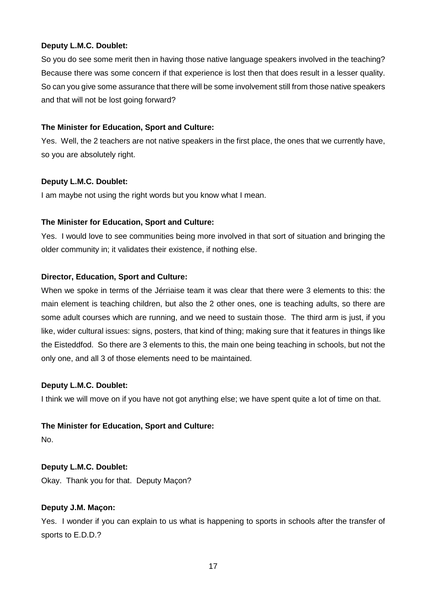So you do see some merit then in having those native language speakers involved in the teaching? Because there was some concern if that experience is lost then that does result in a lesser quality. So can you give some assurance that there will be some involvement still from those native speakers and that will not be lost going forward?

## **The Minister for Education, Sport and Culture:**

Yes. Well, the 2 teachers are not native speakers in the first place, the ones that we currently have, so you are absolutely right.

## **Deputy L.M.C. Doublet:**

I am maybe not using the right words but you know what I mean.

## **The Minister for Education, Sport and Culture:**

Yes. I would love to see communities being more involved in that sort of situation and bringing the older community in; it validates their existence, if nothing else.

## **Director, Education, Sport and Culture:**

When we spoke in terms of the Jérriaise team it was clear that there were 3 elements to this: the main element is teaching children, but also the 2 other ones, one is teaching adults, so there are some adult courses which are running, and we need to sustain those. The third arm is just, if you like, wider cultural issues: signs, posters, that kind of thing; making sure that it features in things like the Eisteddfod. So there are 3 elements to this, the main one being teaching in schools, but not the only one, and all 3 of those elements need to be maintained.

## **Deputy L.M.C. Doublet:**

I think we will move on if you have not got anything else; we have spent quite a lot of time on that.

## **The Minister for Education, Sport and Culture:**

No.

## **Deputy L.M.C. Doublet:**

Okay. Thank you for that. Deputy Maçon?

#### **Deputy J.M. Maçon:**

Yes. I wonder if you can explain to us what is happening to sports in schools after the transfer of sports to E.D.D.?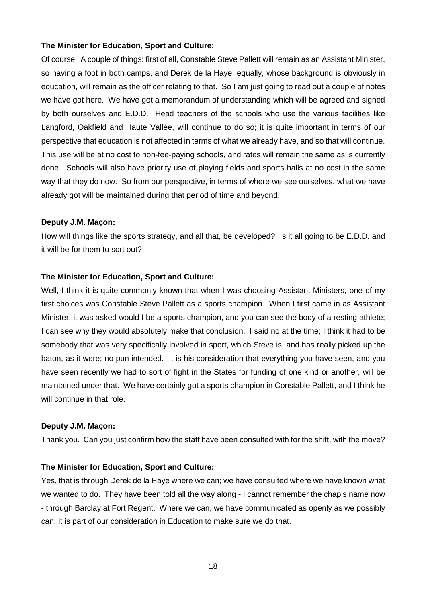#### **The Minister for Education, Sport and Culture:**

Of course. A couple of things: first of all, Constable Steve Pallett will remain as an Assistant Minister, so having a foot in both camps, and Derek de la Haye, equally, whose background is obviously in education, will remain as the officer relating to that. So I am just going to read out a couple of notes we have got here. We have got a memorandum of understanding which will be agreed and signed by both ourselves and E.D.D. Head teachers of the schools who use the various facilities like Langford, Oakfield and Haute Vallée, will continue to do so; it is quite important in terms of our perspective that education is not affected in terms of what we already have, and so that will continue. This use will be at no cost to non-fee-paying schools, and rates will remain the same as is currently done. Schools will also have priority use of playing fields and sports halls at no cost in the same way that they do now. So from our perspective, in terms of where we see ourselves, what we have already got will be maintained during that period of time and beyond.

#### **Deputy J.M. Maçon:**

How will things like the sports strategy, and all that, be developed? Is it all going to be E.D.D. and it will be for them to sort out?

#### **The Minister for Education, Sport and Culture:**

Well, I think it is quite commonly known that when I was choosing Assistant Ministers, one of my first choices was Constable Steve Pallett as a sports champion. When I first came in as Assistant Minister, it was asked would I be a sports champion, and you can see the body of a resting athlete; I can see why they would absolutely make that conclusion. I said no at the time; I think it had to be somebody that was very specifically involved in sport, which Steve is, and has really picked up the baton, as it were; no pun intended. It is his consideration that everything you have seen, and you have seen recently we had to sort of fight in the States for funding of one kind or another, will be maintained under that. We have certainly got a sports champion in Constable Pallett, and I think he will continue in that role.

#### **Deputy J.M. Maçon:**

Thank you. Can you just confirm how the staff have been consulted with for the shift, with the move?

#### **The Minister for Education, Sport and Culture:**

Yes, that is through Derek de la Haye where we can; we have consulted where we have known what we wanted to do. They have been told all the way along - I cannot remember the chap's name now - through Barclay at Fort Regent. Where we can, we have communicated as openly as we possibly can; it is part of our consideration in Education to make sure we do that.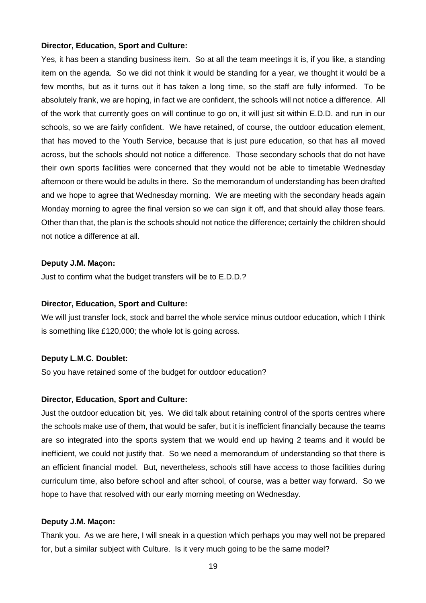Yes, it has been a standing business item. So at all the team meetings it is, if you like, a standing item on the agenda. So we did not think it would be standing for a year, we thought it would be a few months, but as it turns out it has taken a long time, so the staff are fully informed. To be absolutely frank, we are hoping, in fact we are confident, the schools will not notice a difference. All of the work that currently goes on will continue to go on, it will just sit within E.D.D. and run in our schools, so we are fairly confident. We have retained, of course, the outdoor education element, that has moved to the Youth Service, because that is just pure education, so that has all moved across, but the schools should not notice a difference. Those secondary schools that do not have their own sports facilities were concerned that they would not be able to timetable Wednesday afternoon or there would be adults in there. So the memorandum of understanding has been drafted and we hope to agree that Wednesday morning. We are meeting with the secondary heads again Monday morning to agree the final version so we can sign it off, and that should allay those fears. Other than that, the plan is the schools should not notice the difference; certainly the children should not notice a difference at all.

#### **Deputy J.M. Maçon:**

Just to confirm what the budget transfers will be to E.D.D.?

#### **Director, Education, Sport and Culture:**

We will just transfer lock, stock and barrel the whole service minus outdoor education, which I think is something like £120,000; the whole lot is going across.

#### **Deputy L.M.C. Doublet:**

So you have retained some of the budget for outdoor education?

#### **Director, Education, Sport and Culture:**

Just the outdoor education bit, yes. We did talk about retaining control of the sports centres where the schools make use of them, that would be safer, but it is inefficient financially because the teams are so integrated into the sports system that we would end up having 2 teams and it would be inefficient, we could not justify that. So we need a memorandum of understanding so that there is an efficient financial model. But, nevertheless, schools still have access to those facilities during curriculum time, also before school and after school, of course, was a better way forward. So we hope to have that resolved with our early morning meeting on Wednesday.

#### **Deputy J.M. Maçon:**

Thank you. As we are here, I will sneak in a question which perhaps you may well not be prepared for, but a similar subject with Culture. Is it very much going to be the same model?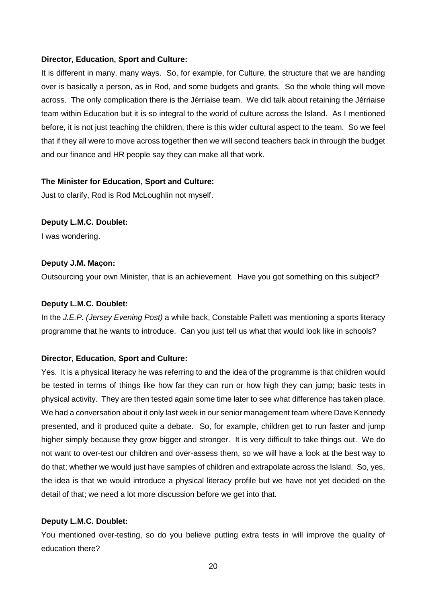It is different in many, many ways. So, for example, for Culture, the structure that we are handing over is basically a person, as in Rod, and some budgets and grants. So the whole thing will move across. The only complication there is the Jérriaise team. We did talk about retaining the Jérriaise team within Education but it is so integral to the world of culture across the Island. As I mentioned before, it is not just teaching the children, there is this wider cultural aspect to the team. So we feel that if they all were to move across together then we will second teachers back in through the budget and our finance and HR people say they can make all that work.

#### **The Minister for Education, Sport and Culture:**

Just to clarify, Rod is Rod McLoughlin not myself.

## **Deputy L.M.C. Doublet:**

I was wondering.

## **Deputy J.M. Maçon:**

Outsourcing your own Minister, that is an achievement. Have you got something on this subject?

## **Deputy L.M.C. Doublet:**

In the J.E.P. (Jersey Evening Post) a while back, Constable Pallett was mentioning a sports literacy programme that he wants to introduce. Can you just tell us what that would look like in schools?

## **Director, Education, Sport and Culture:**

Yes. It is a physical literacy he was referring to and the idea of the programme is that children would be tested in terms of things like how far they can run or how high they can jump; basic tests in physical activity. They are then tested again some time later to see what difference has taken place. We had a conversation about it only last week in our senior management team where Dave Kennedy presented, and it produced quite a debate. So, for example, children get to run faster and jump higher simply because they grow bigger and stronger. It is very difficult to take things out. We do not want to over-test our children and over-assess them, so we will have a look at the best way to do that; whether we would just have samples of children and extrapolate across the Island. So, yes, the idea is that we would introduce a physical literacy profile but we have not yet decided on the detail of that; we need a lot more discussion before we get into that.

#### **Deputy L.M.C. Doublet:**

You mentioned over-testing, so do you believe putting extra tests in will improve the quality of education there?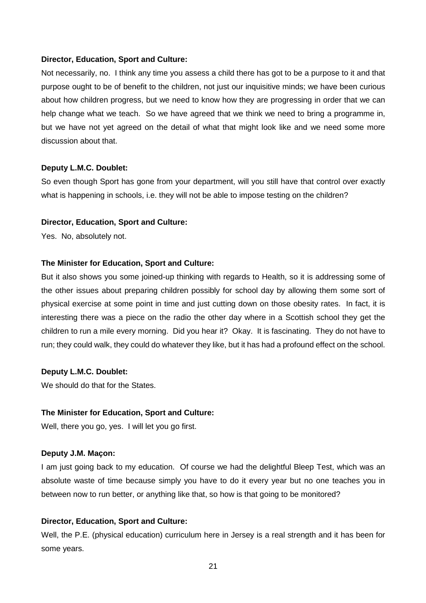Not necessarily, no. I think any time you assess a child there has got to be a purpose to it and that purpose ought to be of benefit to the children, not just our inquisitive minds; we have been curious about how children progress, but we need to know how they are progressing in order that we can help change what we teach. So we have agreed that we think we need to bring a programme in, but we have not yet agreed on the detail of what that might look like and we need some more discussion about that.

#### **Deputy L.M.C. Doublet:**

So even though Sport has gone from your department, will you still have that control over exactly what is happening in schools, i.e. they will not be able to impose testing on the children?

#### **Director, Education, Sport and Culture:**

Yes. No, absolutely not.

#### **The Minister for Education, Sport and Culture:**

But it also shows you some joined-up thinking with regards to Health, so it is addressing some of the other issues about preparing children possibly for school day by allowing them some sort of physical exercise at some point in time and just cutting down on those obesity rates. In fact, it is interesting there was a piece on the radio the other day where in a Scottish school they get the children to run a mile every morning. Did you hear it? Okay. It is fascinating. They do not have to run; they could walk, they could do whatever they like, but it has had a profound effect on the school.

#### **Deputy L.M.C. Doublet:**

We should do that for the States.

#### **The Minister for Education, Sport and Culture:**

Well, there you go, yes. I will let you go first.

#### **Deputy J.M. Maçon:**

I am just going back to my education. Of course we had the delightful Bleep Test, which was an absolute waste of time because simply you have to do it every year but no one teaches you in between now to run better, or anything like that, so how is that going to be monitored?

#### **Director, Education, Sport and Culture:**

Well, the P.E. (physical education) curriculum here in Jersey is a real strength and it has been for some years.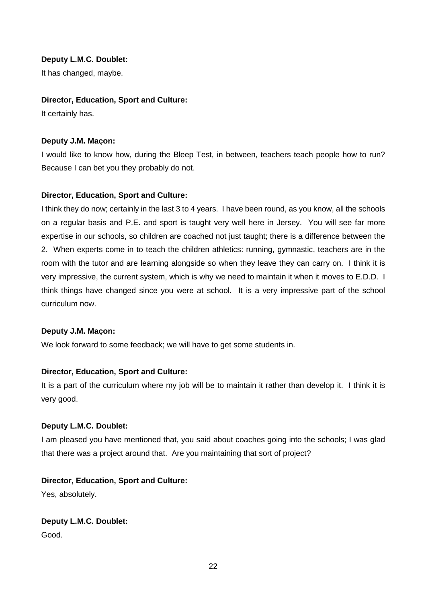It has changed, maybe.

## **Director, Education, Sport and Culture:**

It certainly has.

## **Deputy J.M. Maçon:**

I would like to know how, during the Bleep Test, in between, teachers teach people how to run? Because I can bet you they probably do not.

## **Director, Education, Sport and Culture:**

I think they do now; certainly in the last 3 to 4 years. I have been round, as you know, all the schools on a regular basis and P.E. and sport is taught very well here in Jersey. You will see far more expertise in our schools, so children are coached not just taught; there is a difference between the 2. When experts come in to teach the children athletics: running, gymnastic, teachers are in the room with the tutor and are learning alongside so when they leave they can carry on. I think it is very impressive, the current system, which is why we need to maintain it when it moves to E.D.D. I think things have changed since you were at school. It is a very impressive part of the school curriculum now.

#### **Deputy J.M. Maçon:**

We look forward to some feedback; we will have to get some students in.

## **Director, Education, Sport and Culture:**

It is a part of the curriculum where my job will be to maintain it rather than develop it. I think it is very good.

## **Deputy L.M.C. Doublet:**

I am pleased you have mentioned that, you said about coaches going into the schools; I was glad that there was a project around that. Are you maintaining that sort of project?

#### **Director, Education, Sport and Culture:**

Yes, absolutely.

## **Deputy L.M.C. Doublet:**  Good.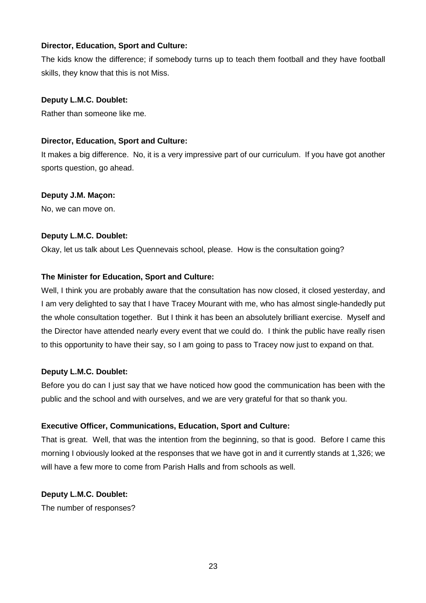The kids know the difference; if somebody turns up to teach them football and they have football skills, they know that this is not Miss.

## **Deputy L.M.C. Doublet:**

Rather than someone like me.

## **Director, Education, Sport and Culture:**

It makes a big difference. No, it is a very impressive part of our curriculum. If you have got another sports question, go ahead.

#### **Deputy J.M. Maçon:**

No, we can move on.

## **Deputy L.M.C. Doublet:**

Okay, let us talk about Les Quennevais school, please. How is the consultation going?

## **The Minister for Education, Sport and Culture:**

Well, I think you are probably aware that the consultation has now closed, it closed yesterday, and I am very delighted to say that I have Tracey Mourant with me, who has almost single-handedly put the whole consultation together. But I think it has been an absolutely brilliant exercise. Myself and the Director have attended nearly every event that we could do. I think the public have really risen to this opportunity to have their say, so I am going to pass to Tracey now just to expand on that.

#### **Deputy L.M.C. Doublet:**

Before you do can I just say that we have noticed how good the communication has been with the public and the school and with ourselves, and we are very grateful for that so thank you.

#### **Executive Officer, Communications, Education, Sport and Culture:**

That is great. Well, that was the intention from the beginning, so that is good. Before I came this morning I obviously looked at the responses that we have got in and it currently stands at 1,326; we will have a few more to come from Parish Halls and from schools as well.

## **Deputy L.M.C. Doublet:**

The number of responses?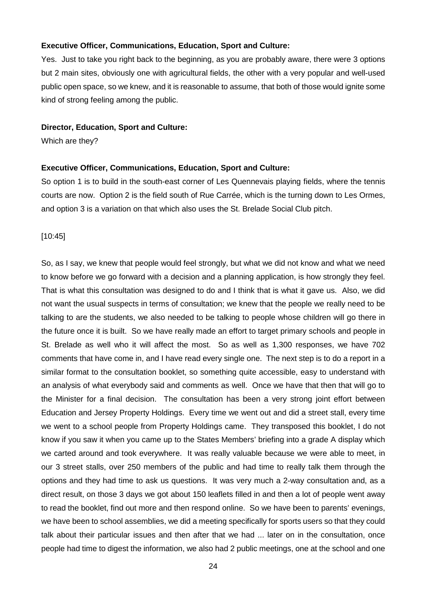## **Executive Officer, Communications, Education, Sport and Culture:**

Yes. Just to take you right back to the beginning, as you are probably aware, there were 3 options but 2 main sites, obviously one with agricultural fields, the other with a very popular and well-used public open space, so we knew, and it is reasonable to assume, that both of those would ignite some kind of strong feeling among the public.

#### **Director, Education, Sport and Culture:**

Which are they?

#### **Executive Officer, Communications, Education, Sport and Culture:**

So option 1 is to build in the south-east corner of Les Quennevais playing fields, where the tennis courts are now. Option 2 is the field south of Rue Carrée, which is the turning down to Les Ormes, and option 3 is a variation on that which also uses the St. Brelade Social Club pitch.

#### [10:45]

So, as I say, we knew that people would feel strongly, but what we did not know and what we need to know before we go forward with a decision and a planning application, is how strongly they feel. That is what this consultation was designed to do and I think that is what it gave us. Also, we did not want the usual suspects in terms of consultation; we knew that the people we really need to be talking to are the students, we also needed to be talking to people whose children will go there in the future once it is built. So we have really made an effort to target primary schools and people in St. Brelade as well who it will affect the most. So as well as 1,300 responses, we have 702 comments that have come in, and I have read every single one. The next step is to do a report in a similar format to the consultation booklet, so something quite accessible, easy to understand with an analysis of what everybody said and comments as well. Once we have that then that will go to the Minister for a final decision. The consultation has been a very strong joint effort between Education and Jersey Property Holdings. Every time we went out and did a street stall, every time we went to a school people from Property Holdings came. They transposed this booklet, I do not know if you saw it when you came up to the States Members' briefing into a grade A display which we carted around and took everywhere. It was really valuable because we were able to meet, in our 3 street stalls, over 250 members of the public and had time to really talk them through the options and they had time to ask us questions. It was very much a 2-way consultation and, as a direct result, on those 3 days we got about 150 leaflets filled in and then a lot of people went away to read the booklet, find out more and then respond online. So we have been to parents' evenings, we have been to school assemblies, we did a meeting specifically for sports users so that they could talk about their particular issues and then after that we had ... later on in the consultation, once people had time to digest the information, we also had 2 public meetings, one at the school and one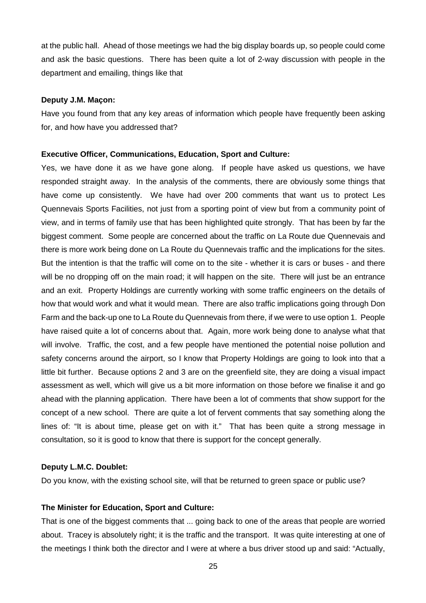at the public hall. Ahead of those meetings we had the big display boards up, so people could come and ask the basic questions. There has been quite a lot of 2-way discussion with people in the department and emailing, things like that

#### **Deputy J.M. Maçon:**

Have you found from that any key areas of information which people have frequently been asking for, and how have you addressed that?

#### **Executive Officer, Communications, Education, Sport and Culture:**

Yes, we have done it as we have gone along. If people have asked us questions, we have responded straight away. In the analysis of the comments, there are obviously some things that have come up consistently. We have had over 200 comments that want us to protect Les Quennevais Sports Facilities, not just from a sporting point of view but from a community point of view, and in terms of family use that has been highlighted quite strongly. That has been by far the biggest comment. Some people are concerned about the traffic on La Route due Quennevais and there is more work being done on La Route du Quennevais traffic and the implications for the sites. But the intention is that the traffic will come on to the site - whether it is cars or buses - and there will be no dropping off on the main road; it will happen on the site. There will just be an entrance and an exit. Property Holdings are currently working with some traffic engineers on the details of how that would work and what it would mean. There are also traffic implications going through Don Farm and the back-up one to La Route du Quennevais from there, if we were to use option 1. People have raised quite a lot of concerns about that. Again, more work being done to analyse what that will involve. Traffic, the cost, and a few people have mentioned the potential noise pollution and safety concerns around the airport, so I know that Property Holdings are going to look into that a little bit further. Because options 2 and 3 are on the greenfield site, they are doing a visual impact assessment as well, which will give us a bit more information on those before we finalise it and go ahead with the planning application. There have been a lot of comments that show support for the concept of a new school. There are quite a lot of fervent comments that say something along the lines of: "It is about time, please get on with it." That has been quite a strong message in consultation, so it is good to know that there is support for the concept generally.

#### **Deputy L.M.C. Doublet:**

Do you know, with the existing school site, will that be returned to green space or public use?

#### **The Minister for Education, Sport and Culture:**

That is one of the biggest comments that ... going back to one of the areas that people are worried about. Tracey is absolutely right; it is the traffic and the transport. It was quite interesting at one of the meetings I think both the director and I were at where a bus driver stood up and said: "Actually,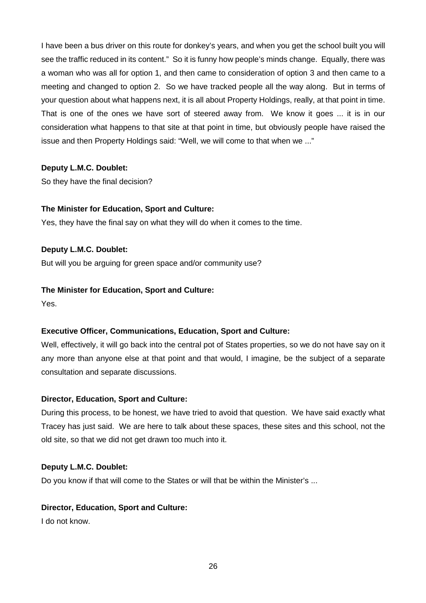I have been a bus driver on this route for donkey's years, and when you get the school built you will see the traffic reduced in its content." So it is funny how people's minds change. Equally, there was a woman who was all for option 1, and then came to consideration of option 3 and then came to a meeting and changed to option 2. So we have tracked people all the way along. But in terms of your question about what happens next, it is all about Property Holdings, really, at that point in time. That is one of the ones we have sort of steered away from. We know it goes ... it is in our consideration what happens to that site at that point in time, but obviously people have raised the issue and then Property Holdings said: "Well, we will come to that when we ..."

## **Deputy L.M.C. Doublet:**

So they have the final decision?

## **The Minister for Education, Sport and Culture:**

Yes, they have the final say on what they will do when it comes to the time.

## **Deputy L.M.C. Doublet:**

But will you be arguing for green space and/or community use?

#### **The Minister for Education, Sport and Culture:**

Yes.

## **Executive Officer, Communications, Education, Sport and Culture:**

Well, effectively, it will go back into the central pot of States properties, so we do not have say on it any more than anyone else at that point and that would, I imagine, be the subject of a separate consultation and separate discussions.

#### **Director, Education, Sport and Culture:**

During this process, to be honest, we have tried to avoid that question. We have said exactly what Tracey has just said. We are here to talk about these spaces, these sites and this school, not the old site, so that we did not get drawn too much into it.

#### **Deputy L.M.C. Doublet:**

Do you know if that will come to the States or will that be within the Minister's ...

#### **Director, Education, Sport and Culture:**

I do not know.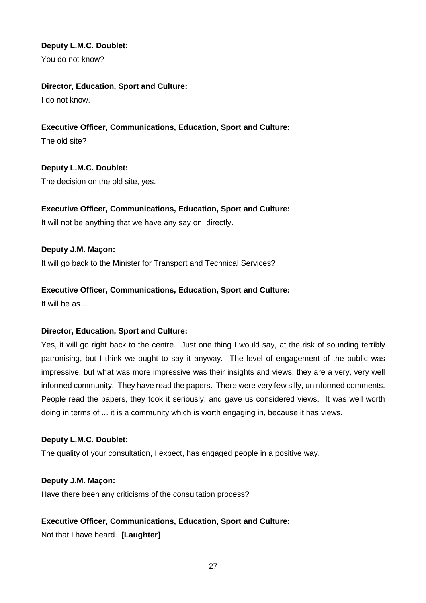You do not know?

## **Director, Education, Sport and Culture:**

I do not know.

## **Executive Officer, Communications, Education, Sport and Culture:**

The old site?

**Deputy L.M.C. Doublet:** The decision on the old site, yes.

## **Executive Officer, Communications, Education, Sport and Culture:**

It will not be anything that we have any say on, directly.

## **Deputy J.M. Maçon:**

It will go back to the Minister for Transport and Technical Services?

## **Executive Officer, Communications, Education, Sport and Culture:**

It will be as ...

## **Director, Education, Sport and Culture:**

Yes, it will go right back to the centre. Just one thing I would say, at the risk of sounding terribly patronising, but I think we ought to say it anyway. The level of engagement of the public was impressive, but what was more impressive was their insights and views; they are a very, very well informed community. They have read the papers. There were very few silly, uninformed comments. People read the papers, they took it seriously, and gave us considered views. It was well worth doing in terms of ... it is a community which is worth engaging in, because it has views.

## **Deputy L.M.C. Doublet:**

The quality of your consultation, I expect, has engaged people in a positive way.

## **Deputy J.M. Maçon:**

Have there been any criticisms of the consultation process?

## **Executive Officer, Communications, Education, Sport and Culture:**

Not that I have heard. **[Laughter]**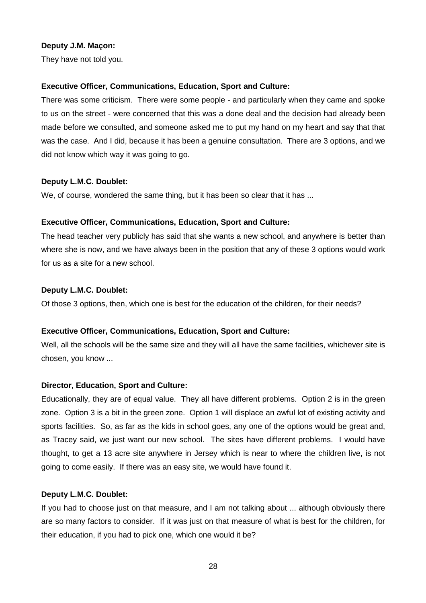#### **Deputy J.M. Maçon:**

They have not told you.

#### **Executive Officer, Communications, Education, Sport and Culture:**

There was some criticism. There were some people - and particularly when they came and spoke to us on the street - were concerned that this was a done deal and the decision had already been made before we consulted, and someone asked me to put my hand on my heart and say that that was the case. And I did, because it has been a genuine consultation. There are 3 options, and we did not know which way it was going to go.

#### **Deputy L.M.C. Doublet:**

We, of course, wondered the same thing, but it has been so clear that it has ...

#### **Executive Officer, Communications, Education, Sport and Culture:**

The head teacher very publicly has said that she wants a new school, and anywhere is better than where she is now, and we have always been in the position that any of these 3 options would work for us as a site for a new school.

#### **Deputy L.M.C. Doublet:**

Of those 3 options, then, which one is best for the education of the children, for their needs?

#### **Executive Officer, Communications, Education, Sport and Culture:**

Well, all the schools will be the same size and they will all have the same facilities, whichever site is chosen, you know ...

#### **Director, Education, Sport and Culture:**

Educationally, they are of equal value. They all have different problems. Option 2 is in the green zone. Option 3 is a bit in the green zone. Option 1 will displace an awful lot of existing activity and sports facilities. So, as far as the kids in school goes, any one of the options would be great and, as Tracey said, we just want our new school. The sites have different problems. I would have thought, to get a 13 acre site anywhere in Jersey which is near to where the children live, is not going to come easily. If there was an easy site, we would have found it.

#### **Deputy L.M.C. Doublet:**

If you had to choose just on that measure, and I am not talking about ... although obviously there are so many factors to consider. If it was just on that measure of what is best for the children, for their education, if you had to pick one, which one would it be?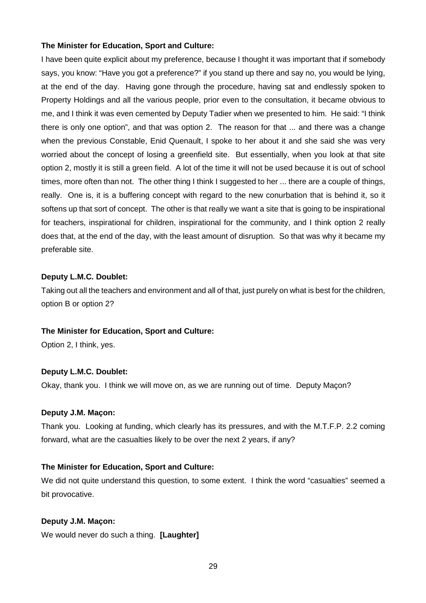## **The Minister for Education, Sport and Culture:**

I have been quite explicit about my preference, because I thought it was important that if somebody says, you know: "Have you got a preference?" if you stand up there and say no, you would be lying, at the end of the day. Having gone through the procedure, having sat and endlessly spoken to Property Holdings and all the various people, prior even to the consultation, it became obvious to me, and I think it was even cemented by Deputy Tadier when we presented to him. He said: "I think there is only one option", and that was option 2. The reason for that ... and there was a change when the previous Constable, Enid Quenault, I spoke to her about it and she said she was very worried about the concept of losing a greenfield site. But essentially, when you look at that site option 2, mostly it is still a green field. A lot of the time it will not be used because it is out of school times, more often than not. The other thing I think I suggested to her ... there are a couple of things, really. One is, it is a buffering concept with regard to the new conurbation that is behind it, so it softens up that sort of concept. The other is that really we want a site that is going to be inspirational for teachers, inspirational for children, inspirational for the community, and I think option 2 really does that, at the end of the day, with the least amount of disruption. So that was why it became my preferable site.

## **Deputy L.M.C. Doublet:**

Taking out all the teachers and environment and all of that, just purely on what is best for the children, option B or option 2?

#### **The Minister for Education, Sport and Culture:**

Option 2, I think, yes.

## **Deputy L.M.C. Doublet:**

Okay, thank you. I think we will move on, as we are running out of time. Deputy Maçon?

#### **Deputy J.M. Maçon:**

Thank you. Looking at funding, which clearly has its pressures, and with the M.T.F.P. 2.2 coming forward, what are the casualties likely to be over the next 2 years, if any?

## **The Minister for Education, Sport and Culture:**

We did not quite understand this question, to some extent. I think the word "casualties" seemed a bit provocative.

#### **Deputy J.M. Maçon:**

We would never do such a thing. **[Laughter]**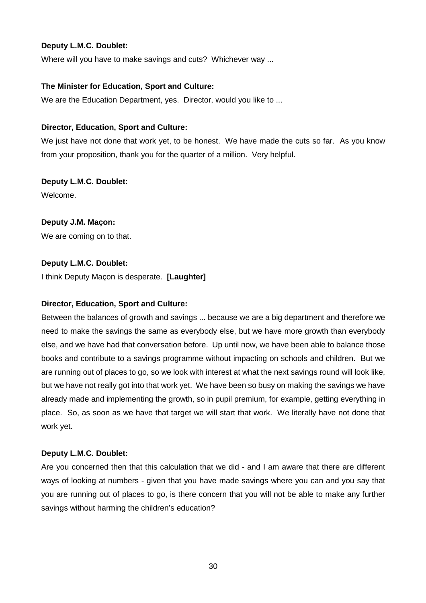Where will you have to make savings and cuts? Whichever way ...

#### **The Minister for Education, Sport and Culture:**

We are the Education Department, yes. Director, would you like to ...

#### **Director, Education, Sport and Culture:**

We just have not done that work yet, to be honest. We have made the cuts so far. As you know from your proposition, thank you for the quarter of a million. Very helpful.

#### **Deputy L.M.C. Doublet:**

Welcome.

#### **Deputy J.M. Maçon:**

We are coming on to that.

#### **Deputy L.M.C. Doublet:**

I think Deputy Maçon is desperate. **[Laughter]** 

#### **Director, Education, Sport and Culture:**

Between the balances of growth and savings ... because we are a big department and therefore we need to make the savings the same as everybody else, but we have more growth than everybody else, and we have had that conversation before. Up until now, we have been able to balance those books and contribute to a savings programme without impacting on schools and children. But we are running out of places to go, so we look with interest at what the next savings round will look like, but we have not really got into that work yet. We have been so busy on making the savings we have already made and implementing the growth, so in pupil premium, for example, getting everything in place. So, as soon as we have that target we will start that work. We literally have not done that work yet.

#### **Deputy L.M.C. Doublet:**

Are you concerned then that this calculation that we did - and I am aware that there are different ways of looking at numbers - given that you have made savings where you can and you say that you are running out of places to go, is there concern that you will not be able to make any further savings without harming the children's education?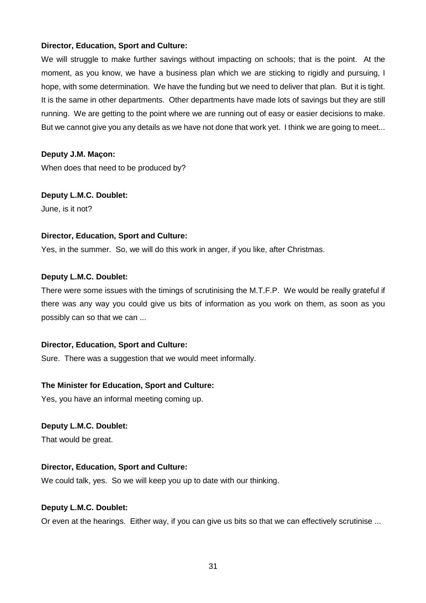We will struggle to make further savings without impacting on schools; that is the point. At the moment, as you know, we have a business plan which we are sticking to rigidly and pursuing, I hope, with some determination. We have the funding but we need to deliver that plan. But it is tight. It is the same in other departments. Other departments have made lots of savings but they are still running. We are getting to the point where we are running out of easy or easier decisions to make. But we cannot give you any details as we have not done that work yet. I think we are going to meet...

#### **Deputy J.M. Maçon:**

When does that need to be produced by?

#### **Deputy L.M.C. Doublet:**

June, is it not?

#### **Director, Education, Sport and Culture:**

Yes, in the summer. So, we will do this work in anger, if you like, after Christmas.

#### **Deputy L.M.C. Doublet:**

There were some issues with the timings of scrutinising the M.T.F.P. We would be really grateful if there was any way you could give us bits of information as you work on them, as soon as you possibly can so that we can ...

#### **Director, Education, Sport and Culture:**

Sure. There was a suggestion that we would meet informally.

#### **The Minister for Education, Sport and Culture:**

Yes, you have an informal meeting coming up.

#### **Deputy L.M.C. Doublet:**

That would be great.

#### **Director, Education, Sport and Culture:**

We could talk, yes. So we will keep you up to date with our thinking.

#### **Deputy L.M.C. Doublet:**

Or even at the hearings. Either way, if you can give us bits so that we can effectively scrutinise ...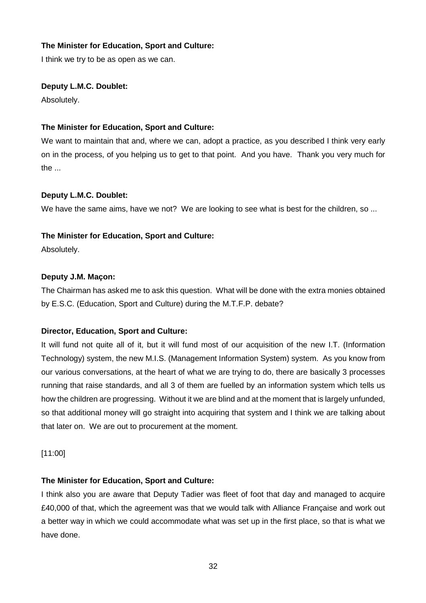## **The Minister for Education, Sport and Culture:**

I think we try to be as open as we can.

## **Deputy L.M.C. Doublet:**

Absolutely.

## **The Minister for Education, Sport and Culture:**

We want to maintain that and, where we can, adopt a practice, as you described I think very early on in the process, of you helping us to get to that point. And you have. Thank you very much for the ...

#### **Deputy L.M.C. Doublet:**

We have the same aims, have we not? We are looking to see what is best for the children, so ...

## **The Minister for Education, Sport and Culture:**

Absolutely.

## **Deputy J.M. Maçon:**

The Chairman has asked me to ask this question. What will be done with the extra monies obtained by E.S.C. (Education, Sport and Culture) during the M.T.F.P. debate?

## **Director, Education, Sport and Culture:**

It will fund not quite all of it, but it will fund most of our acquisition of the new I.T. (Information Technology) system, the new M.I.S. (Management Information System) system. As you know from our various conversations, at the heart of what we are trying to do, there are basically 3 processes running that raise standards, and all 3 of them are fuelled by an information system which tells us how the children are progressing. Without it we are blind and at the moment that is largely unfunded, so that additional money will go straight into acquiring that system and I think we are talking about that later on. We are out to procurement at the moment.

[11:00]

#### **The Minister for Education, Sport and Culture:**

I think also you are aware that Deputy Tadier was fleet of foot that day and managed to acquire £40,000 of that, which the agreement was that we would talk with Alliance Française and work out a better way in which we could accommodate what was set up in the first place, so that is what we have done.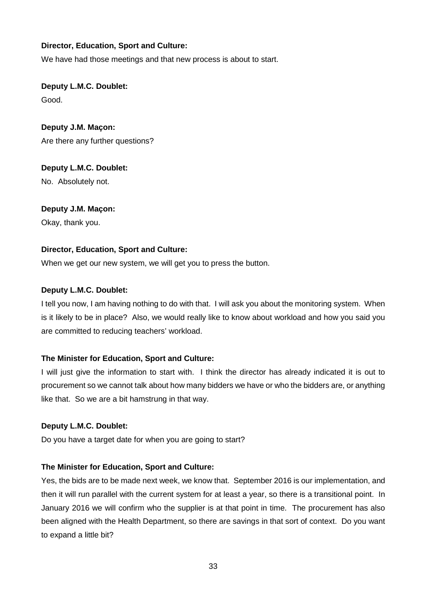We have had those meetings and that new process is about to start.

**Deputy L.M.C. Doublet:** Good.

**Deputy J.M. Maçon:** Are there any further questions?

**Deputy L.M.C. Doublet:** No. Absolutely not.

**Deputy J.M. Maçon:** Okay, thank you.

## **Director, Education, Sport and Culture:**

When we get our new system, we will get you to press the button.

#### **Deputy L.M.C. Doublet:**

I tell you now, I am having nothing to do with that. I will ask you about the monitoring system. When is it likely to be in place? Also, we would really like to know about workload and how you said you are committed to reducing teachers' workload.

#### **The Minister for Education, Sport and Culture:**

I will just give the information to start with. I think the director has already indicated it is out to procurement so we cannot talk about how many bidders we have or who the bidders are, or anything like that. So we are a bit hamstrung in that way.

#### **Deputy L.M.C. Doublet:**

Do you have a target date for when you are going to start?

#### **The Minister for Education, Sport and Culture:**

Yes, the bids are to be made next week, we know that. September 2016 is our implementation, and then it will run parallel with the current system for at least a year, so there is a transitional point. In January 2016 we will confirm who the supplier is at that point in time. The procurement has also been aligned with the Health Department, so there are savings in that sort of context. Do you want to expand a little bit?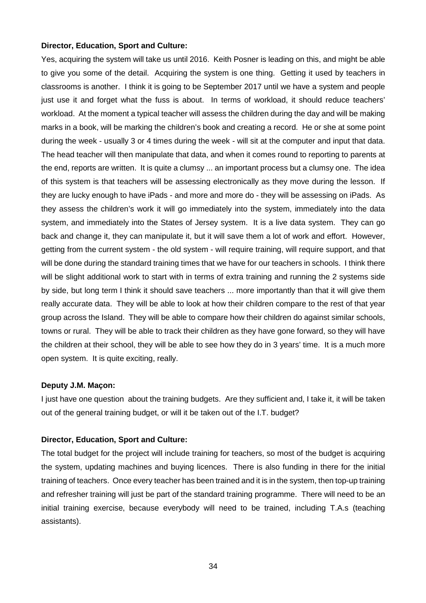Yes, acquiring the system will take us until 2016. Keith Posner is leading on this, and might be able to give you some of the detail. Acquiring the system is one thing. Getting it used by teachers in classrooms is another. I think it is going to be September 2017 until we have a system and people just use it and forget what the fuss is about. In terms of workload, it should reduce teachers' workload. At the moment a typical teacher will assess the children during the day and will be making marks in a book, will be marking the children's book and creating a record. He or she at some point during the week - usually 3 or 4 times during the week - will sit at the computer and input that data. The head teacher will then manipulate that data, and when it comes round to reporting to parents at the end, reports are written. It is quite a clumsy ... an important process but a clumsy one. The idea of this system is that teachers will be assessing electronically as they move during the lesson. If they are lucky enough to have iPads - and more and more do - they will be assessing on iPads. As they assess the children's work it will go immediately into the system, immediately into the data system, and immediately into the States of Jersey system. It is a live data system. They can go back and change it, they can manipulate it, but it will save them a lot of work and effort. However, getting from the current system - the old system - will require training, will require support, and that will be done during the standard training times that we have for our teachers in schools. I think there will be slight additional work to start with in terms of extra training and running the 2 systems side by side, but long term I think it should save teachers ... more importantly than that it will give them really accurate data. They will be able to look at how their children compare to the rest of that year group across the Island. They will be able to compare how their children do against similar schools, towns or rural. They will be able to track their children as they have gone forward, so they will have the children at their school, they will be able to see how they do in 3 years' time. It is a much more open system. It is quite exciting, really.

#### **Deputy J.M. Maçon:**

I just have one question about the training budgets. Are they sufficient and, I take it, it will be taken out of the general training budget, or will it be taken out of the I.T. budget?

#### **Director, Education, Sport and Culture:**

The total budget for the project will include training for teachers, so most of the budget is acquiring the system, updating machines and buying licences. There is also funding in there for the initial training of teachers. Once every teacher has been trained and it is in the system, then top-up training and refresher training will just be part of the standard training programme. There will need to be an initial training exercise, because everybody will need to be trained, including T.A.s (teaching assistants).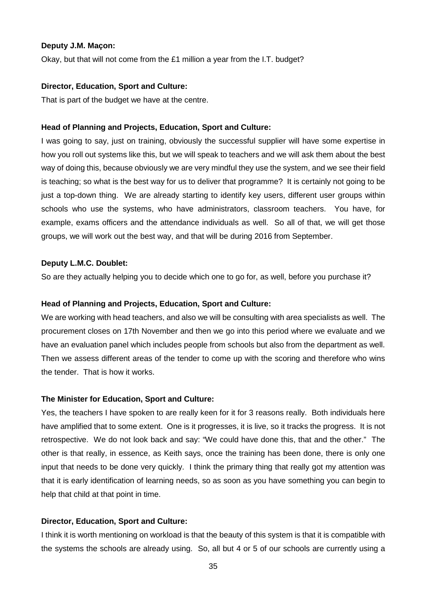#### **Deputy J.M. Maçon:**

Okay, but that will not come from the £1 million a year from the I.T. budget?

#### **Director, Education, Sport and Culture:**

That is part of the budget we have at the centre.

#### **Head of Planning and Projects, Education, Sport and Culture:**

I was going to say, just on training, obviously the successful supplier will have some expertise in how you roll out systems like this, but we will speak to teachers and we will ask them about the best way of doing this, because obviously we are very mindful they use the system, and we see their field is teaching; so what is the best way for us to deliver that programme? It is certainly not going to be just a top-down thing. We are already starting to identify key users, different user groups within schools who use the systems, who have administrators, classroom teachers. You have, for example, exams officers and the attendance individuals as well. So all of that, we will get those groups, we will work out the best way, and that will be during 2016 from September.

#### **Deputy L.M.C. Doublet:**

So are they actually helping you to decide which one to go for, as well, before you purchase it?

#### **Head of Planning and Projects, Education, Sport and Culture:**

We are working with head teachers, and also we will be consulting with area specialists as well. The procurement closes on 17th November and then we go into this period where we evaluate and we have an evaluation panel which includes people from schools but also from the department as well. Then we assess different areas of the tender to come up with the scoring and therefore who wins the tender. That is how it works.

#### **The Minister for Education, Sport and Culture:**

Yes, the teachers I have spoken to are really keen for it for 3 reasons really. Both individuals here have amplified that to some extent. One is it progresses, it is live, so it tracks the progress. It is not retrospective. We do not look back and say: "We could have done this, that and the other." The other is that really, in essence, as Keith says, once the training has been done, there is only one input that needs to be done very quickly. I think the primary thing that really got my attention was that it is early identification of learning needs, so as soon as you have something you can begin to help that child at that point in time.

#### **Director, Education, Sport and Culture:**

I think it is worth mentioning on workload is that the beauty of this system is that it is compatible with the systems the schools are already using. So, all but 4 or 5 of our schools are currently using a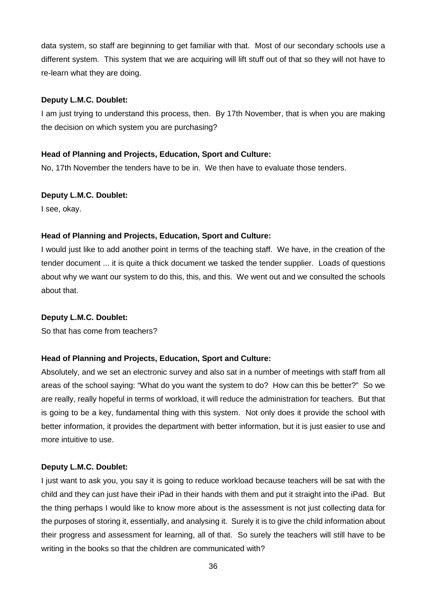data system, so staff are beginning to get familiar with that. Most of our secondary schools use a different system. This system that we are acquiring will lift stuff out of that so they will not have to re-learn what they are doing.

#### **Deputy L.M.C. Doublet:**

I am just trying to understand this process, then. By 17th November, that is when you are making the decision on which system you are purchasing?

## **Head of Planning and Projects, Education, Sport and Culture:**

No, 17th November the tenders have to be in. We then have to evaluate those tenders.

#### **Deputy L.M.C. Doublet:**

I see, okay.

## **Head of Planning and Projects, Education, Sport and Culture:**

I would just like to add another point in terms of the teaching staff. We have, in the creation of the tender document ... it is quite a thick document we tasked the tender supplier. Loads of questions about why we want our system to do this, this, and this. We went out and we consulted the schools about that.

#### **Deputy L.M.C. Doublet:**

So that has come from teachers?

## **Head of Planning and Projects, Education, Sport and Culture:**

Absolutely, and we set an electronic survey and also sat in a number of meetings with staff from all areas of the school saying: "What do you want the system to do? How can this be better?" So we are really, really hopeful in terms of workload, it will reduce the administration for teachers. But that is going to be a key, fundamental thing with this system. Not only does it provide the school with better information, it provides the department with better information, but it is just easier to use and more intuitive to use.

#### **Deputy L.M.C. Doublet:**

I just want to ask you, you say it is going to reduce workload because teachers will be sat with the child and they can just have their iPad in their hands with them and put it straight into the iPad. But the thing perhaps I would like to know more about is the assessment is not just collecting data for the purposes of storing it, essentially, and analysing it. Surely it is to give the child information about their progress and assessment for learning, all of that. So surely the teachers will still have to be writing in the books so that the children are communicated with?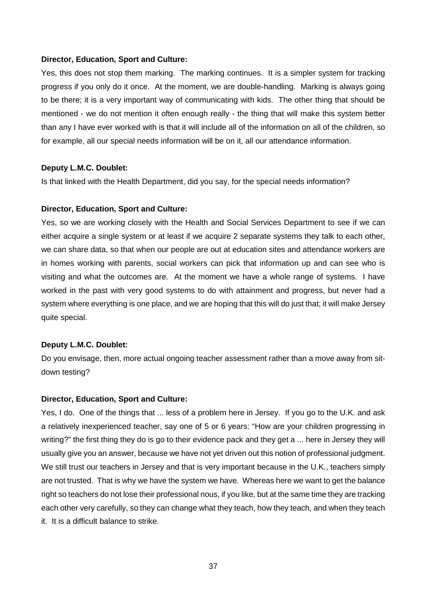Yes, this does not stop them marking. The marking continues. It is a simpler system for tracking progress if you only do it once. At the moment, we are double-handling. Marking is always going to be there; it is a very important way of communicating with kids. The other thing that should be mentioned - we do not mention it often enough really - the thing that will make this system better than any I have ever worked with is that it will include all of the information on all of the children, so for example, all our special needs information will be on it, all our attendance information.

#### **Deputy L.M.C. Doublet:**

Is that linked with the Health Department, did you say, for the special needs information?

#### **Director, Education, Sport and Culture:**

Yes, so we are working closely with the Health and Social Services Department to see if we can either acquire a single system or at least if we acquire 2 separate systems they talk to each other, we can share data, so that when our people are out at education sites and attendance workers are in homes working with parents, social workers can pick that information up and can see who is visiting and what the outcomes are. At the moment we have a whole range of systems. I have worked in the past with very good systems to do with attainment and progress, but never had a system where everything is one place, and we are hoping that this will do just that; it will make Jersey quite special.

#### **Deputy L.M.C. Doublet:**

Do you envisage, then, more actual ongoing teacher assessment rather than a move away from sitdown testing?

#### **Director, Education, Sport and Culture:**

Yes, I do. One of the things that ... less of a problem here in Jersey. If you go to the U.K. and ask a relatively inexperienced teacher, say one of 5 or 6 years: "How are your children progressing in writing?" the first thing they do is go to their evidence pack and they get a ... here in Jersey they will usually give you an answer, because we have not yet driven out this notion of professional judgment. We still trust our teachers in Jersey and that is very important because in the U.K., teachers simply are not trusted. That is why we have the system we have. Whereas here we want to get the balance right so teachers do not lose their professional nous, if you like, but at the same time they are tracking each other very carefully, so they can change what they teach, how they teach, and when they teach it. It is a difficult balance to strike.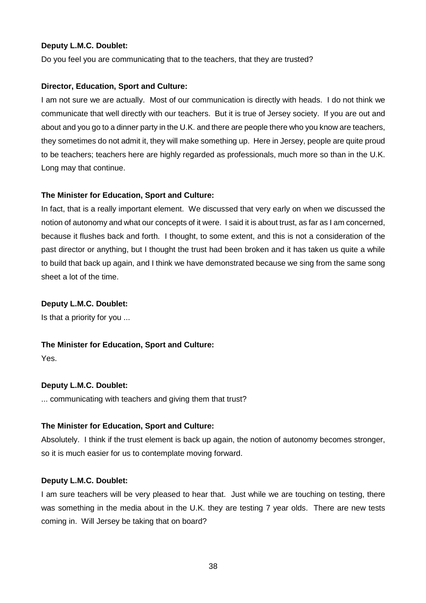Do you feel you are communicating that to the teachers, that they are trusted?

## **Director, Education, Sport and Culture:**

I am not sure we are actually. Most of our communication is directly with heads. I do not think we communicate that well directly with our teachers. But it is true of Jersey society. If you are out and about and you go to a dinner party in the U.K. and there are people there who you know are teachers, they sometimes do not admit it, they will make something up. Here in Jersey, people are quite proud to be teachers; teachers here are highly regarded as professionals, much more so than in the U.K. Long may that continue.

## **The Minister for Education, Sport and Culture:**

In fact, that is a really important element. We discussed that very early on when we discussed the notion of autonomy and what our concepts of it were. I said it is about trust, as far as I am concerned, because it flushes back and forth. I thought, to some extent, and this is not a consideration of the past director or anything, but I thought the trust had been broken and it has taken us quite a while to build that back up again, and I think we have demonstrated because we sing from the same song sheet a lot of the time.

## **Deputy L.M.C. Doublet:**

Is that a priority for you ...

## **The Minister for Education, Sport and Culture:**

Yes.

## **Deputy L.M.C. Doublet:**

... communicating with teachers and giving them that trust?

#### **The Minister for Education, Sport and Culture:**

Absolutely. I think if the trust element is back up again, the notion of autonomy becomes stronger, so it is much easier for us to contemplate moving forward.

#### **Deputy L.M.C. Doublet:**

I am sure teachers will be very pleased to hear that. Just while we are touching on testing, there was something in the media about in the U.K. they are testing 7 year olds. There are new tests coming in. Will Jersey be taking that on board?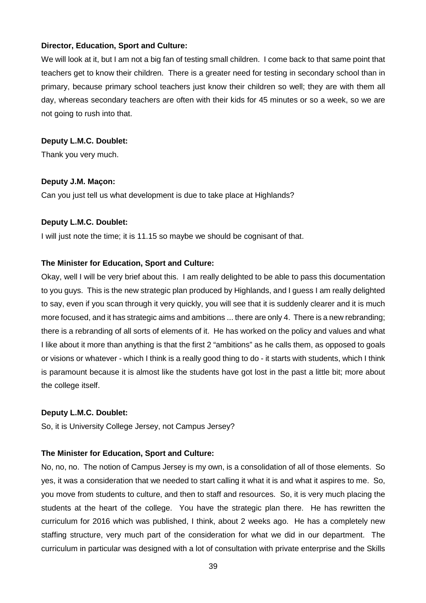We will look at it, but I am not a big fan of testing small children. I come back to that same point that teachers get to know their children. There is a greater need for testing in secondary school than in primary, because primary school teachers just know their children so well; they are with them all day, whereas secondary teachers are often with their kids for 45 minutes or so a week, so we are not going to rush into that.

#### **Deputy L.M.C. Doublet:**

Thank you very much.

#### **Deputy J.M. Maçon:**

Can you just tell us what development is due to take place at Highlands?

#### **Deputy L.M.C. Doublet:**

I will just note the time; it is 11.15 so maybe we should be cognisant of that.

#### **The Minister for Education, Sport and Culture:**

Okay, well I will be very brief about this. I am really delighted to be able to pass this documentation to you guys. This is the new strategic plan produced by Highlands, and I guess I am really delighted to say, even if you scan through it very quickly, you will see that it is suddenly clearer and it is much more focused, and it has strategic aims and ambitions ... there are only 4. There is a new rebranding; there is a rebranding of all sorts of elements of it. He has worked on the policy and values and what I like about it more than anything is that the first 2 "ambitions" as he calls them, as opposed to goals or visions or whatever - which I think is a really good thing to do - it starts with students, which I think is paramount because it is almost like the students have got lost in the past a little bit; more about the college itself.

#### **Deputy L.M.C. Doublet:**

So, it is University College Jersey, not Campus Jersey?

#### **The Minister for Education, Sport and Culture:**

No, no, no. The notion of Campus Jersey is my own, is a consolidation of all of those elements. So yes, it was a consideration that we needed to start calling it what it is and what it aspires to me. So, you move from students to culture, and then to staff and resources. So, it is very much placing the students at the heart of the college. You have the strategic plan there. He has rewritten the curriculum for 2016 which was published, I think, about 2 weeks ago. He has a completely new staffing structure, very much part of the consideration for what we did in our department. The curriculum in particular was designed with a lot of consultation with private enterprise and the Skills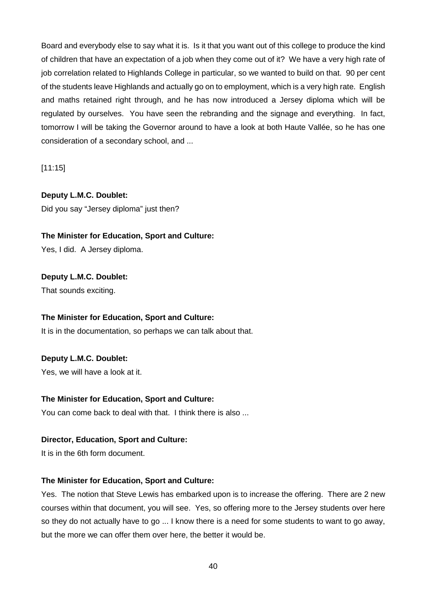Board and everybody else to say what it is. Is it that you want out of this college to produce the kind of children that have an expectation of a job when they come out of it? We have a very high rate of job correlation related to Highlands College in particular, so we wanted to build on that. 90 per cent of the students leave Highlands and actually go on to employment, which is a very high rate. English and maths retained right through, and he has now introduced a Jersey diploma which will be regulated by ourselves. You have seen the rebranding and the signage and everything. In fact, tomorrow I will be taking the Governor around to have a look at both Haute Vallée, so he has one consideration of a secondary school, and ...

[11:15]

**Deputy L.M.C. Doublet:** Did you say "Jersey diploma" just then?

## **The Minister for Education, Sport and Culture:**

Yes, I did. A Jersey diploma.

## **Deputy L.M.C. Doublet:**

That sounds exciting.

## **The Minister for Education, Sport and Culture:**

It is in the documentation, so perhaps we can talk about that.

## **Deputy L.M.C. Doublet:**

Yes, we will have a look at it.

## **The Minister for Education, Sport and Culture:**

You can come back to deal with that. I think there is also ...

## **Director, Education, Sport and Culture:**

It is in the 6th form document.

## **The Minister for Education, Sport and Culture:**

Yes. The notion that Steve Lewis has embarked upon is to increase the offering. There are 2 new courses within that document, you will see. Yes, so offering more to the Jersey students over here so they do not actually have to go ... I know there is a need for some students to want to go away, but the more we can offer them over here, the better it would be.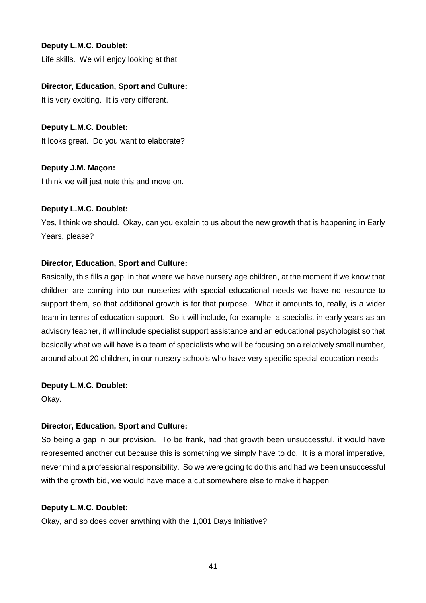Life skills. We will enjoy looking at that.

## **Director, Education, Sport and Culture:**

It is very exciting. It is very different.

## **Deputy L.M.C. Doublet:**

It looks great. Do you want to elaborate?

**Deputy J.M. Maçon:** I think we will just note this and move on.

## **Deputy L.M.C. Doublet:**

Yes, I think we should. Okay, can you explain to us about the new growth that is happening in Early Years, please?

## **Director, Education, Sport and Culture:**

Basically, this fills a gap, in that where we have nursery age children, at the moment if we know that children are coming into our nurseries with special educational needs we have no resource to support them, so that additional growth is for that purpose. What it amounts to, really, is a wider team in terms of education support. So it will include, for example, a specialist in early years as an advisory teacher, it will include specialist support assistance and an educational psychologist so that basically what we will have is a team of specialists who will be focusing on a relatively small number, around about 20 children, in our nursery schools who have very specific special education needs.

#### **Deputy L.M.C. Doublet:**

Okay.

#### **Director, Education, Sport and Culture:**

So being a gap in our provision. To be frank, had that growth been unsuccessful, it would have represented another cut because this is something we simply have to do. It is a moral imperative, never mind a professional responsibility. So we were going to do this and had we been unsuccessful with the growth bid, we would have made a cut somewhere else to make it happen.

#### **Deputy L.M.C. Doublet:**

Okay, and so does cover anything with the 1,001 Days Initiative?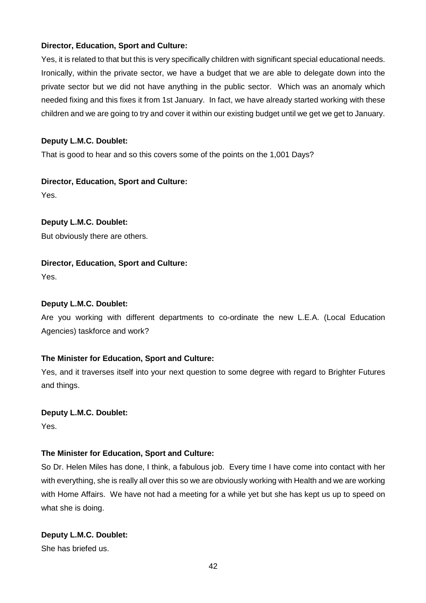Yes, it is related to that but this is very specifically children with significant special educational needs. Ironically, within the private sector, we have a budget that we are able to delegate down into the private sector but we did not have anything in the public sector. Which was an anomaly which needed fixing and this fixes it from 1st January. In fact, we have already started working with these children and we are going to try and cover it within our existing budget until we get we get to January.

## **Deputy L.M.C. Doublet:**

That is good to hear and so this covers some of the points on the 1,001 Days?

## **Director, Education, Sport and Culture:**

Yes.

## **Deputy L.M.C. Doublet:**

But obviously there are others.

## **Director, Education, Sport and Culture:**

Yes.

## **Deputy L.M.C. Doublet:**

Are you working with different departments to co-ordinate the new L.E.A. (Local Education Agencies) taskforce and work?

## **The Minister for Education, Sport and Culture:**

Yes, and it traverses itself into your next question to some degree with regard to Brighter Futures and things.

#### **Deputy L.M.C. Doublet:**

Yes.

## **The Minister for Education, Sport and Culture:**

So Dr. Helen Miles has done, I think, a fabulous job. Every time I have come into contact with her with everything, she is really all over this so we are obviously working with Health and we are working with Home Affairs. We have not had a meeting for a while yet but she has kept us up to speed on what she is doing.

#### **Deputy L.M.C. Doublet:**

She has briefed us.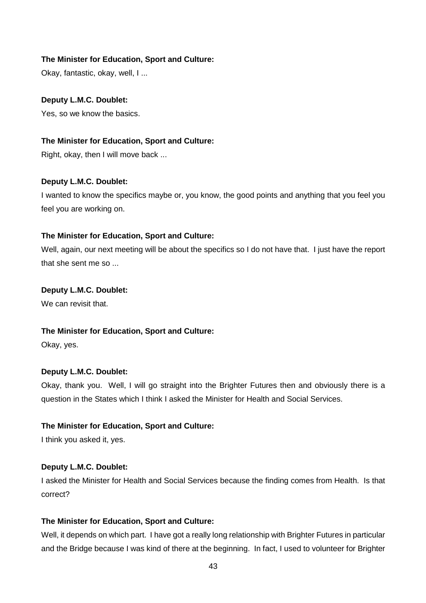## **The Minister for Education, Sport and Culture:**

Okay, fantastic, okay, well, I ...

## **Deputy L.M.C. Doublet:**

Yes, so we know the basics.

## **The Minister for Education, Sport and Culture:**

Right, okay, then I will move back ...

## **Deputy L.M.C. Doublet:**

I wanted to know the specifics maybe or, you know, the good points and anything that you feel you feel you are working on.

## **The Minister for Education, Sport and Culture:**

Well, again, our next meeting will be about the specifics so I do not have that. I just have the report that she sent me so ...

#### **Deputy L.M.C. Doublet:**

We can revisit that.

## **The Minister for Education, Sport and Culture:**

Okay, yes.

## **Deputy L.M.C. Doublet:**

Okay, thank you. Well, I will go straight into the Brighter Futures then and obviously there is a question in the States which I think I asked the Minister for Health and Social Services.

#### **The Minister for Education, Sport and Culture:**

I think you asked it, yes.

## **Deputy L.M.C. Doublet:**

I asked the Minister for Health and Social Services because the finding comes from Health. Is that correct?

## **The Minister for Education, Sport and Culture:**

Well, it depends on which part. I have got a really long relationship with Brighter Futures in particular and the Bridge because I was kind of there at the beginning. In fact, I used to volunteer for Brighter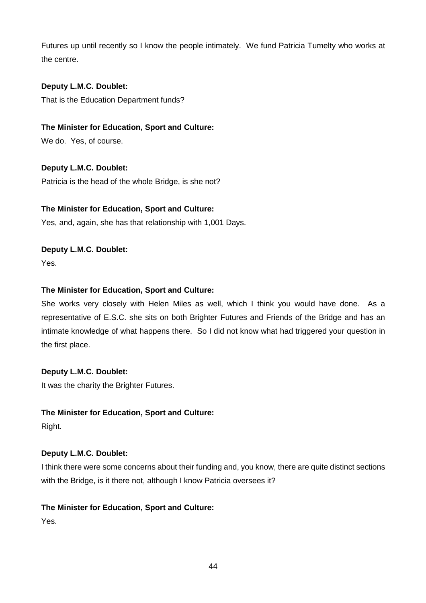Futures up until recently so I know the people intimately. We fund Patricia Tumelty who works at the centre.

## **Deputy L.M.C. Doublet:**

That is the Education Department funds?

## **The Minister for Education, Sport and Culture:**

We do. Yes, of course.

## **Deputy L.M.C. Doublet:**

Patricia is the head of the whole Bridge, is she not?

## **The Minister for Education, Sport and Culture:**

Yes, and, again, she has that relationship with 1,001 Days.

## **Deputy L.M.C. Doublet:**

Yes.

## **The Minister for Education, Sport and Culture:**

She works very closely with Helen Miles as well, which I think you would have done. As a representative of E.S.C. she sits on both Brighter Futures and Friends of the Bridge and has an intimate knowledge of what happens there. So I did not know what had triggered your question in the first place.

#### **Deputy L.M.C. Doublet:**

It was the charity the Brighter Futures.

## **The Minister for Education, Sport and Culture:**

Right.

#### **Deputy L.M.C. Doublet:**

I think there were some concerns about their funding and, you know, there are quite distinct sections with the Bridge, is it there not, although I know Patricia oversees it?

#### **The Minister for Education, Sport and Culture:**

Yes.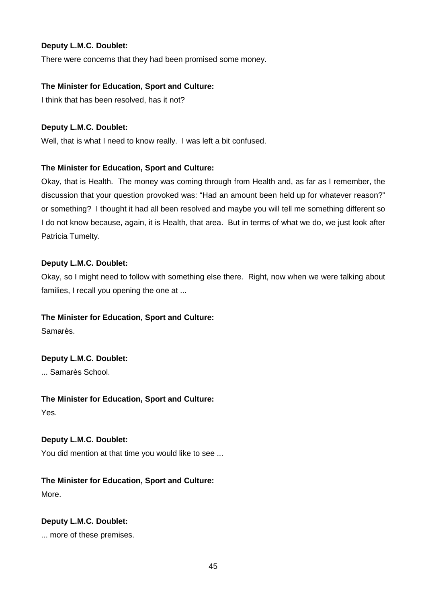There were concerns that they had been promised some money.

#### **The Minister for Education, Sport and Culture:**

I think that has been resolved, has it not?

#### **Deputy L.M.C. Doublet:**

Well, that is what I need to know really. I was left a bit confused.

#### **The Minister for Education, Sport and Culture:**

Okay, that is Health. The money was coming through from Health and, as far as I remember, the discussion that your question provoked was: "Had an amount been held up for whatever reason?" or something? I thought it had all been resolved and maybe you will tell me something different so I do not know because, again, it is Health, that area. But in terms of what we do, we just look after Patricia Tumelty.

#### **Deputy L.M.C. Doublet:**

Okay, so I might need to follow with something else there. Right, now when we were talking about families, I recall you opening the one at ...

#### **The Minister for Education, Sport and Culture:**

Samarès.

# **Deputy L.M.C. Doublet:**

... Samarès School.

## **The Minister for Education, Sport and Culture:**

Yes.

#### **Deputy L.M.C. Doublet:**

You did mention at that time you would like to see ...

## **The Minister for Education, Sport and Culture:**

More.

#### **Deputy L.M.C. Doublet:**

... more of these premises.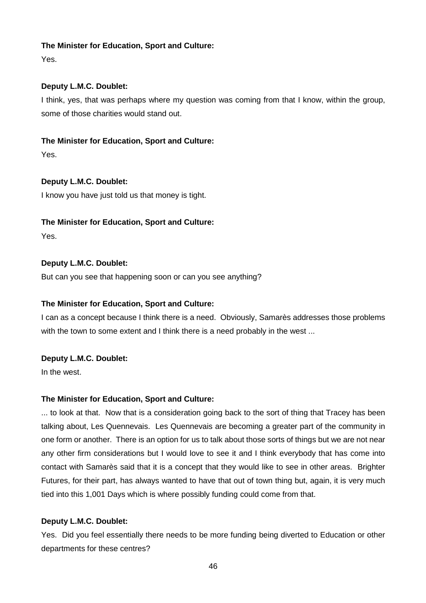## **The Minister for Education, Sport and Culture:**

Yes.

## **Deputy L.M.C. Doublet:**

I think, yes, that was perhaps where my question was coming from that I know, within the group, some of those charities would stand out.

## **The Minister for Education, Sport and Culture:**

Yes.

## **Deputy L.M.C. Doublet:**

I know you have just told us that money is tight.

## **The Minister for Education, Sport and Culture:**

Yes.

## **Deputy L.M.C. Doublet:**

But can you see that happening soon or can you see anything?

## **The Minister for Education, Sport and Culture:**

I can as a concept because I think there is a need. Obviously, Samarès addresses those problems with the town to some extent and I think there is a need probably in the west ...

## **Deputy L.M.C. Doublet:**

In the west.

## **The Minister for Education, Sport and Culture:**

... to look at that. Now that is a consideration going back to the sort of thing that Tracey has been talking about, Les Quennevais. Les Quennevais are becoming a greater part of the community in one form or another. There is an option for us to talk about those sorts of things but we are not near any other firm considerations but I would love to see it and I think everybody that has come into contact with Samarès said that it is a concept that they would like to see in other areas. Brighter Futures, for their part, has always wanted to have that out of town thing but, again, it is very much tied into this 1,001 Days which is where possibly funding could come from that.

## **Deputy L.M.C. Doublet:**

Yes. Did you feel essentially there needs to be more funding being diverted to Education or other departments for these centres?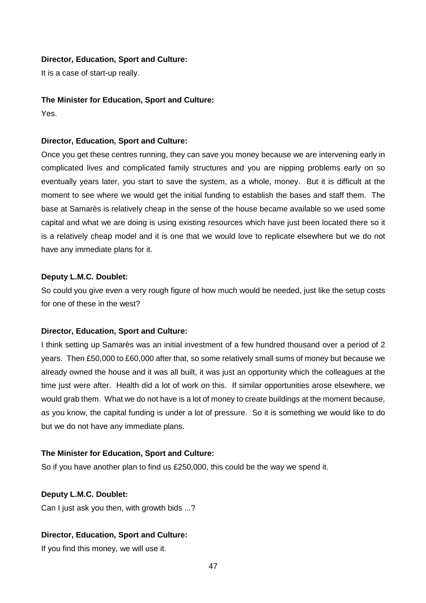It is a case of start-up really.

#### **The Minister for Education, Sport and Culture:**

Yes.

#### **Director, Education, Sport and Culture:**

Once you get these centres running, they can save you money because we are intervening early in complicated lives and complicated family structures and you are nipping problems early on so eventually years later, you start to save the system, as a whole, money. But it is difficult at the moment to see where we would get the initial funding to establish the bases and staff them. The base at Samarès is relatively cheap in the sense of the house became available so we used some capital and what we are doing is using existing resources which have just been located there so it is a relatively cheap model and it is one that we would love to replicate elsewhere but we do not have any immediate plans for it.

#### **Deputy L.M.C. Doublet:**

So could you give even a very rough figure of how much would be needed, just like the setup costs for one of these in the west?

#### **Director, Education, Sport and Culture:**

I think setting up Samarès was an initial investment of a few hundred thousand over a period of 2 years. Then £50,000 to £60,000 after that, so some relatively small sums of money but because we already owned the house and it was all built, it was just an opportunity which the colleagues at the time just were after. Health did a lot of work on this. If similar opportunities arose elsewhere, we would grab them. What we do not have is a lot of money to create buildings at the moment because, as you know, the capital funding is under a lot of pressure. So it is something we would like to do but we do not have any immediate plans.

#### **The Minister for Education, Sport and Culture:**

So if you have another plan to find us £250,000, this could be the way we spend it.

#### **Deputy L.M.C. Doublet:**

Can I just ask you then, with growth bids ...?

#### **Director, Education, Sport and Culture:**

If you find this money, we will use it.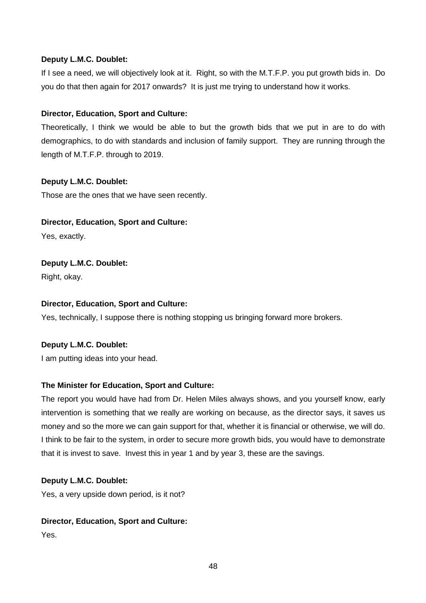If I see a need, we will objectively look at it. Right, so with the M.T.F.P. you put growth bids in. Do you do that then again for 2017 onwards? It is just me trying to understand how it works.

## **Director, Education, Sport and Culture:**

Theoretically, I think we would be able to but the growth bids that we put in are to do with demographics, to do with standards and inclusion of family support. They are running through the length of M.T.F.P. through to 2019.

## **Deputy L.M.C. Doublet:**

Those are the ones that we have seen recently.

## **Director, Education, Sport and Culture:**

Yes, exactly.

## **Deputy L.M.C. Doublet:**

Right, okay.

## **Director, Education, Sport and Culture:**

Yes, technically, I suppose there is nothing stopping us bringing forward more brokers.

## **Deputy L.M.C. Doublet:**

I am putting ideas into your head.

## **The Minister for Education, Sport and Culture:**

The report you would have had from Dr. Helen Miles always shows, and you yourself know, early intervention is something that we really are working on because, as the director says, it saves us money and so the more we can gain support for that, whether it is financial or otherwise, we will do. I think to be fair to the system, in order to secure more growth bids, you would have to demonstrate that it is invest to save. Invest this in year 1 and by year 3, these are the savings.

#### **Deputy L.M.C. Doublet:**

Yes, a very upside down period, is it not?

## **Director, Education, Sport and Culture:**

Yes.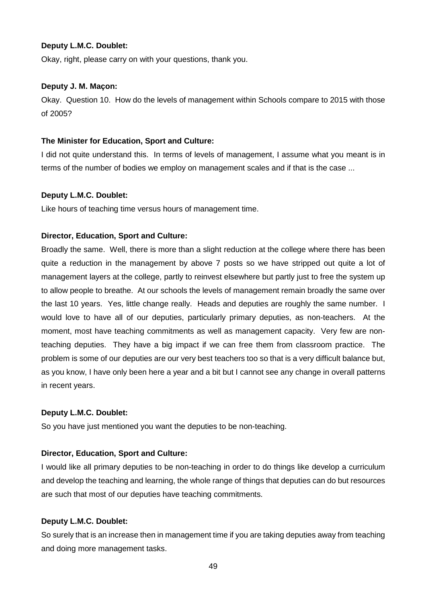Okay, right, please carry on with your questions, thank you.

#### **Deputy J. M. Maçon:**

Okay. Question 10. How do the levels of management within Schools compare to 2015 with those of 2005?

#### **The Minister for Education, Sport and Culture:**

I did not quite understand this. In terms of levels of management, I assume what you meant is in terms of the number of bodies we employ on management scales and if that is the case ...

#### **Deputy L.M.C. Doublet:**

Like hours of teaching time versus hours of management time.

#### **Director, Education, Sport and Culture:**

Broadly the same. Well, there is more than a slight reduction at the college where there has been quite a reduction in the management by above 7 posts so we have stripped out quite a lot of management layers at the college, partly to reinvest elsewhere but partly just to free the system up to allow people to breathe. At our schools the levels of management remain broadly the same over the last 10 years. Yes, little change really. Heads and deputies are roughly the same number. I would love to have all of our deputies, particularly primary deputies, as non-teachers. At the moment, most have teaching commitments as well as management capacity. Very few are nonteaching deputies. They have a big impact if we can free them from classroom practice. The problem is some of our deputies are our very best teachers too so that is a very difficult balance but, as you know, I have only been here a year and a bit but I cannot see any change in overall patterns in recent years.

#### **Deputy L.M.C. Doublet:**

So you have just mentioned you want the deputies to be non-teaching.

#### **Director, Education, Sport and Culture:**

I would like all primary deputies to be non-teaching in order to do things like develop a curriculum and develop the teaching and learning, the whole range of things that deputies can do but resources are such that most of our deputies have teaching commitments.

#### **Deputy L.M.C. Doublet:**

So surely that is an increase then in management time if you are taking deputies away from teaching and doing more management tasks.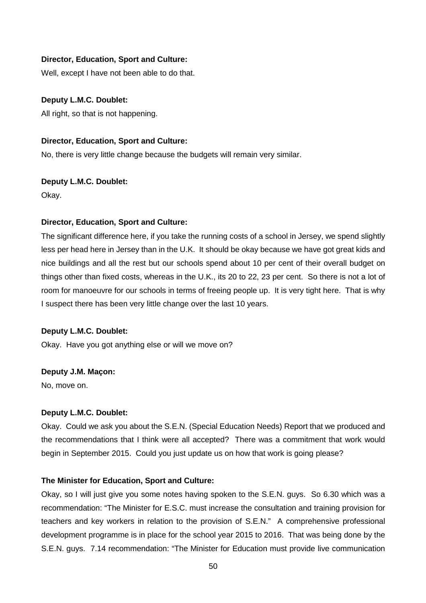Well, except I have not been able to do that.

#### **Deputy L.M.C. Doublet:**

All right, so that is not happening.

#### **Director, Education, Sport and Culture:**

No, there is very little change because the budgets will remain very similar.

#### **Deputy L.M.C. Doublet:**

Okay.

#### **Director, Education, Sport and Culture:**

The significant difference here, if you take the running costs of a school in Jersey, we spend slightly less per head here in Jersey than in the U.K. It should be okay because we have got great kids and nice buildings and all the rest but our schools spend about 10 per cent of their overall budget on things other than fixed costs, whereas in the U.K., its 20 to 22, 23 per cent. So there is not a lot of room for manoeuvre for our schools in terms of freeing people up. It is very tight here. That is why I suspect there has been very little change over the last 10 years.

#### **Deputy L.M.C. Doublet:**

Okay. Have you got anything else or will we move on?

#### **Deputy J.M. Maçon:**

No, move on.

#### **Deputy L.M.C. Doublet:**

Okay. Could we ask you about the S.E.N. (Special Education Needs) Report that we produced and the recommendations that I think were all accepted? There was a commitment that work would begin in September 2015. Could you just update us on how that work is going please?

#### **The Minister for Education, Sport and Culture:**

Okay, so I will just give you some notes having spoken to the S.E.N. guys. So 6.30 which was a recommendation: "The Minister for E.S.C. must increase the consultation and training provision for teachers and key workers in relation to the provision of S.E.N." A comprehensive professional development programme is in place for the school year 2015 to 2016. That was being done by the S.E.N. guys. 7.14 recommendation: "The Minister for Education must provide live communication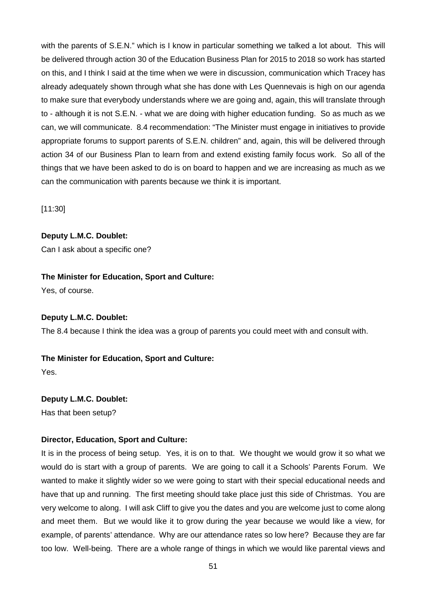with the parents of S.E.N." which is I know in particular something we talked a lot about. This will be delivered through action 30 of the Education Business Plan for 2015 to 2018 so work has started on this, and I think I said at the time when we were in discussion, communication which Tracey has already adequately shown through what she has done with Les Quennevais is high on our agenda to make sure that everybody understands where we are going and, again, this will translate through to - although it is not S.E.N. - what we are doing with higher education funding. So as much as we can, we will communicate. 8.4 recommendation: "The Minister must engage in initiatives to provide appropriate forums to support parents of S.E.N. children" and, again, this will be delivered through action 34 of our Business Plan to learn from and extend existing family focus work. So all of the things that we have been asked to do is on board to happen and we are increasing as much as we can the communication with parents because we think it is important.

[11:30]

**Deputy L.M.C. Doublet:** Can I ask about a specific one?

## **The Minister for Education, Sport and Culture:**

Yes, of course.

#### **Deputy L.M.C. Doublet:**

The 8.4 because I think the idea was a group of parents you could meet with and consult with.

## **The Minister for Education, Sport and Culture:**

Yes.

## **Deputy L.M.C. Doublet:**

Has that been setup?

## **Director, Education, Sport and Culture:**

It is in the process of being setup. Yes, it is on to that. We thought we would grow it so what we would do is start with a group of parents. We are going to call it a Schools' Parents Forum. We wanted to make it slightly wider so we were going to start with their special educational needs and have that up and running. The first meeting should take place just this side of Christmas. You are very welcome to along. I will ask Cliff to give you the dates and you are welcome just to come along and meet them. But we would like it to grow during the year because we would like a view, for example, of parents' attendance. Why are our attendance rates so low here? Because they are far too low. Well-being. There are a whole range of things in which we would like parental views and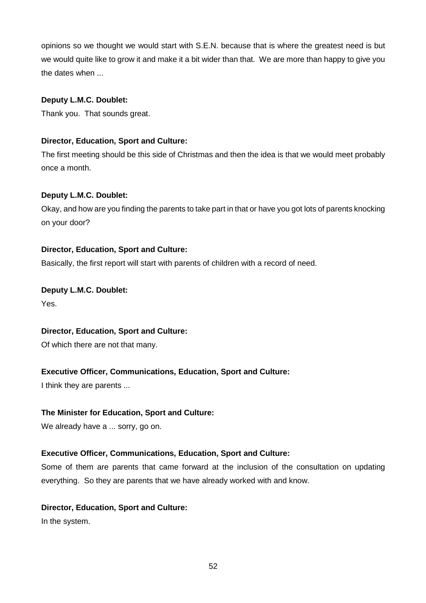opinions so we thought we would start with S.E.N. because that is where the greatest need is but we would quite like to grow it and make it a bit wider than that. We are more than happy to give you the dates when ...

## **Deputy L.M.C. Doublet:**

Thank you. That sounds great.

## **Director, Education, Sport and Culture:**

The first meeting should be this side of Christmas and then the idea is that we would meet probably once a month.

## **Deputy L.M.C. Doublet:**

Okay, and how are you finding the parents to take part in that or have you got lots of parents knocking on your door?

## **Director, Education, Sport and Culture:**

Basically, the first report will start with parents of children with a record of need.

**Deputy L.M.C. Doublet:** Yes.

## **Director, Education, Sport and Culture:**

Of which there are not that many.

## **Executive Officer, Communications, Education, Sport and Culture:**

I think they are parents ...

## **The Minister for Education, Sport and Culture:**

We already have a ... sorry, go on.

## **Executive Officer, Communications, Education, Sport and Culture:**

Some of them are parents that came forward at the inclusion of the consultation on updating everything. So they are parents that we have already worked with and know.

## **Director, Education, Sport and Culture:**

In the system.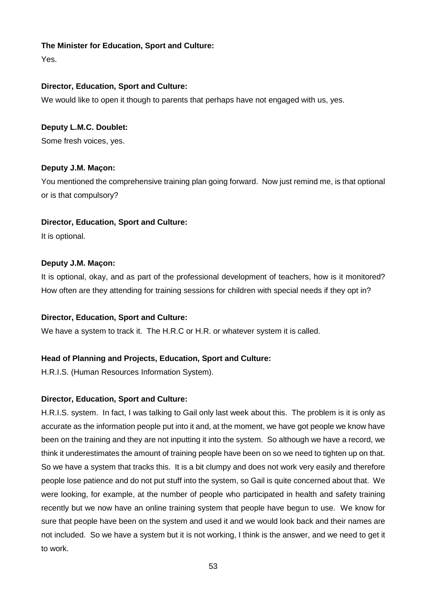## **The Minister for Education, Sport and Culture:**

Yes.

## **Director, Education, Sport and Culture:**

We would like to open it though to parents that perhaps have not engaged with us, yes.

## **Deputy L.M.C. Doublet:**

Some fresh voices, yes.

## **Deputy J.M. Maçon:**

You mentioned the comprehensive training plan going forward. Now just remind me, is that optional or is that compulsory?

## **Director, Education, Sport and Culture:**

It is optional.

## **Deputy J.M. Maçon:**

It is optional, okay, and as part of the professional development of teachers, how is it monitored? How often are they attending for training sessions for children with special needs if they opt in?

#### **Director, Education, Sport and Culture:**

We have a system to track it. The H.R.C or H.R. or whatever system it is called.

## **Head of Planning and Projects, Education, Sport and Culture:**

H.R.I.S. (Human Resources Information System).

#### **Director, Education, Sport and Culture:**

H.R.I.S. system. In fact, I was talking to Gail only last week about this. The problem is it is only as accurate as the information people put into it and, at the moment, we have got people we know have been on the training and they are not inputting it into the system. So although we have a record, we think it underestimates the amount of training people have been on so we need to tighten up on that. So we have a system that tracks this. It is a bit clumpy and does not work very easily and therefore people lose patience and do not put stuff into the system, so Gail is quite concerned about that. We were looking, for example, at the number of people who participated in health and safety training recently but we now have an online training system that people have begun to use. We know for sure that people have been on the system and used it and we would look back and their names are not included. So we have a system but it is not working, I think is the answer, and we need to get it to work.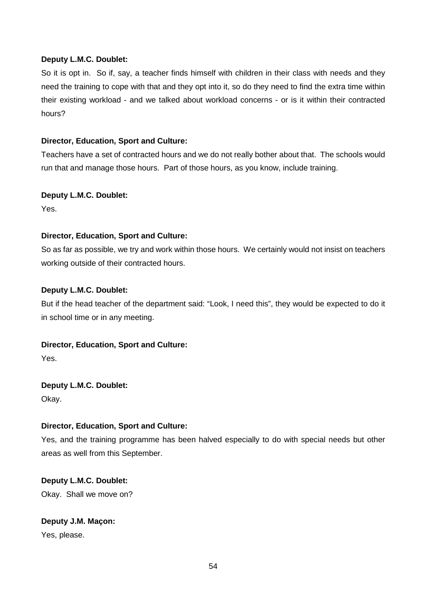So it is opt in. So if, say, a teacher finds himself with children in their class with needs and they need the training to cope with that and they opt into it, so do they need to find the extra time within their existing workload - and we talked about workload concerns - or is it within their contracted hours?

#### **Director, Education, Sport and Culture:**

Teachers have a set of contracted hours and we do not really bother about that. The schools would run that and manage those hours. Part of those hours, as you know, include training.

#### **Deputy L.M.C. Doublet:**

Yes.

#### **Director, Education, Sport and Culture:**

So as far as possible, we try and work within those hours. We certainly would not insist on teachers working outside of their contracted hours.

#### **Deputy L.M.C. Doublet:**

But if the head teacher of the department said: "Look, I need this", they would be expected to do it in school time or in any meeting.

#### **Director, Education, Sport and Culture:**

Yes.

## **Deputy L.M.C. Doublet:**

Okay.

#### **Director, Education, Sport and Culture:**

Yes, and the training programme has been halved especially to do with special needs but other areas as well from this September.

#### **Deputy L.M.C. Doublet:**

Okay. Shall we move on?

## **Deputy J.M. Maçon:**

Yes, please.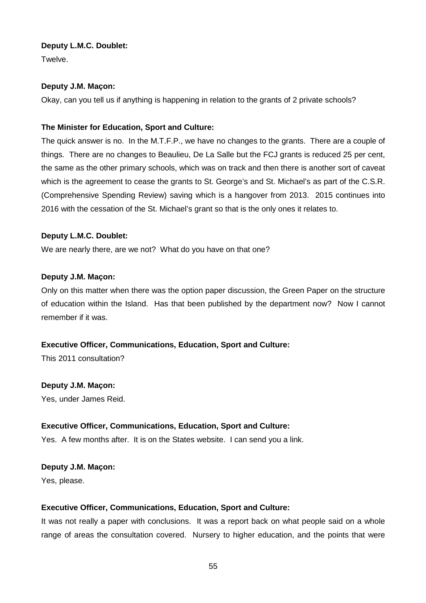Twelve.

## **Deputy J.M. Maçon:**

Okay, can you tell us if anything is happening in relation to the grants of 2 private schools?

## **The Minister for Education, Sport and Culture:**

The quick answer is no. In the M.T.F.P., we have no changes to the grants. There are a couple of things. There are no changes to Beaulieu, De La Salle but the FCJ grants is reduced 25 per cent, the same as the other primary schools, which was on track and then there is another sort of caveat which is the agreement to cease the grants to St. George's and St. Michael's as part of the C.S.R. (Comprehensive Spending Review) saving which is a hangover from 2013. 2015 continues into 2016 with the cessation of the St. Michael's grant so that is the only ones it relates to.

## **Deputy L.M.C. Doublet:**

We are nearly there, are we not? What do you have on that one?

## **Deputy J.M. Maçon:**

Only on this matter when there was the option paper discussion, the Green Paper on the structure of education within the Island. Has that been published by the department now? Now I cannot remember if it was.

## **Executive Officer, Communications, Education, Sport and Culture:**

This 2011 consultation?

#### **Deputy J.M. Maçon:**

Yes, under James Reid.

#### **Executive Officer, Communications, Education, Sport and Culture:**

Yes. A few months after. It is on the States website. I can send you a link.

## **Deputy J.M. Maçon:**

Yes, please.

## **Executive Officer, Communications, Education, Sport and Culture:**

It was not really a paper with conclusions. It was a report back on what people said on a whole range of areas the consultation covered. Nursery to higher education, and the points that were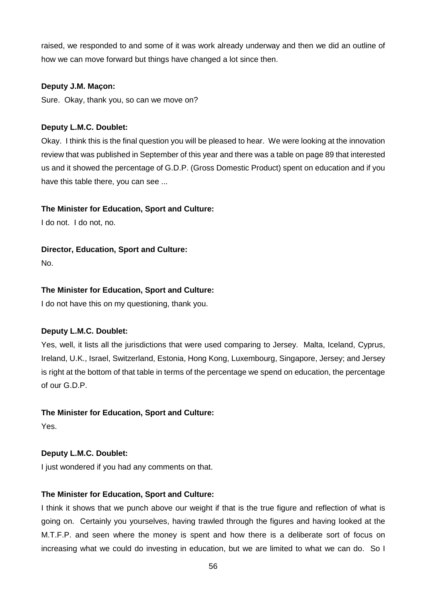raised, we responded to and some of it was work already underway and then we did an outline of how we can move forward but things have changed a lot since then.

## **Deputy J.M. Maçon:**

Sure. Okay, thank you, so can we move on?

## **Deputy L.M.C. Doublet:**

Okay. I think this is the final question you will be pleased to hear. We were looking at the innovation review that was published in September of this year and there was a table on page 89 that interested us and it showed the percentage of G.D.P. (Gross Domestic Product) spent on education and if you have this table there, you can see ...

## **The Minister for Education, Sport and Culture:**

I do not. I do not, no.

## **Director, Education, Sport and Culture:**

No.

## **The Minister for Education, Sport and Culture:**

I do not have this on my questioning, thank you.

## **Deputy L.M.C. Doublet:**

Yes, well, it lists all the jurisdictions that were used comparing to Jersey. Malta, Iceland, Cyprus, Ireland, U.K., Israel, Switzerland, Estonia, Hong Kong, Luxembourg, Singapore, Jersey; and Jersey is right at the bottom of that table in terms of the percentage we spend on education, the percentage of our G.D.P.

## **The Minister for Education, Sport and Culture:**

Yes.

## **Deputy L.M.C. Doublet:**

I just wondered if you had any comments on that.

## **The Minister for Education, Sport and Culture:**

I think it shows that we punch above our weight if that is the true figure and reflection of what is going on. Certainly you yourselves, having trawled through the figures and having looked at the M.T.F.P. and seen where the money is spent and how there is a deliberate sort of focus on increasing what we could do investing in education, but we are limited to what we can do. So I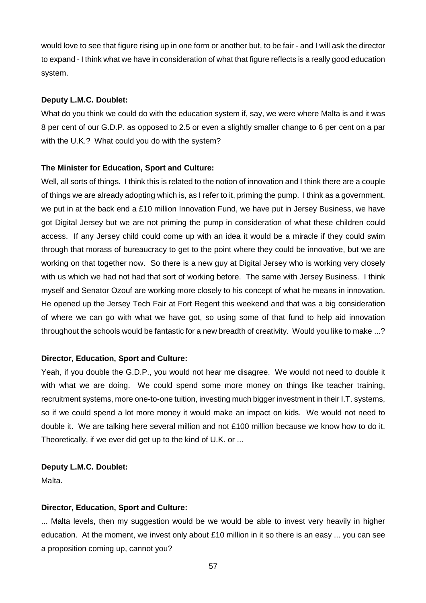would love to see that figure rising up in one form or another but, to be fair - and I will ask the director to expand - I think what we have in consideration of what that figure reflects is a really good education system.

## **Deputy L.M.C. Doublet:**

What do you think we could do with the education system if, say, we were where Malta is and it was 8 per cent of our G.D.P. as opposed to 2.5 or even a slightly smaller change to 6 per cent on a par with the U.K.? What could you do with the system?

## **The Minister for Education, Sport and Culture:**

Well, all sorts of things. I think this is related to the notion of innovation and I think there are a couple of things we are already adopting which is, as I refer to it, priming the pump. I think as a government, we put in at the back end a £10 million Innovation Fund, we have put in Jersey Business, we have got Digital Jersey but we are not priming the pump in consideration of what these children could access. If any Jersey child could come up with an idea it would be a miracle if they could swim through that morass of bureaucracy to get to the point where they could be innovative, but we are working on that together now. So there is a new guy at Digital Jersey who is working very closely with us which we had not had that sort of working before. The same with Jersey Business. I think myself and Senator Ozouf are working more closely to his concept of what he means in innovation. He opened up the Jersey Tech Fair at Fort Regent this weekend and that was a big consideration of where we can go with what we have got, so using some of that fund to help aid innovation throughout the schools would be fantastic for a new breadth of creativity. Would you like to make ...?

## **Director, Education, Sport and Culture:**

Yeah, if you double the G.D.P., you would not hear me disagree. We would not need to double it with what we are doing. We could spend some more money on things like teacher training, recruitment systems, more one-to-one tuition, investing much bigger investment in their I.T. systems, so if we could spend a lot more money it would make an impact on kids. We would not need to double it. We are talking here several million and not £100 million because we know how to do it. Theoretically, if we ever did get up to the kind of U.K. or ...

## **Deputy L.M.C. Doublet:**

Malta.

## **Director, Education, Sport and Culture:**

... Malta levels, then my suggestion would be we would be able to invest very heavily in higher education. At the moment, we invest only about £10 million in it so there is an easy ... you can see a proposition coming up, cannot you?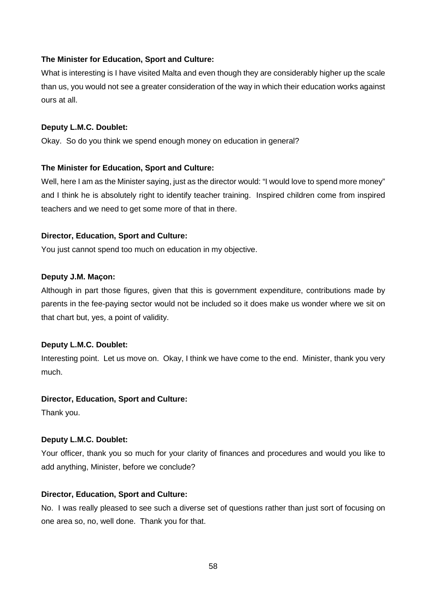## **The Minister for Education, Sport and Culture:**

What is interesting is I have visited Malta and even though they are considerably higher up the scale than us, you would not see a greater consideration of the way in which their education works against ours at all.

## **Deputy L.M.C. Doublet:**

Okay. So do you think we spend enough money on education in general?

## **The Minister for Education, Sport and Culture:**

Well, here I am as the Minister saying, just as the director would: "I would love to spend more money" and I think he is absolutely right to identify teacher training. Inspired children come from inspired teachers and we need to get some more of that in there.

## **Director, Education, Sport and Culture:**

You just cannot spend too much on education in my objective.

## **Deputy J.M. Maçon:**

Although in part those figures, given that this is government expenditure, contributions made by parents in the fee-paying sector would not be included so it does make us wonder where we sit on that chart but, yes, a point of validity.

## **Deputy L.M.C. Doublet:**

Interesting point. Let us move on. Okay, I think we have come to the end. Minister, thank you very much.

#### **Director, Education, Sport and Culture:**

Thank you.

## **Deputy L.M.C. Doublet:**

Your officer, thank you so much for your clarity of finances and procedures and would you like to add anything, Minister, before we conclude?

## **Director, Education, Sport and Culture:**

No. I was really pleased to see such a diverse set of questions rather than just sort of focusing on one area so, no, well done. Thank you for that.